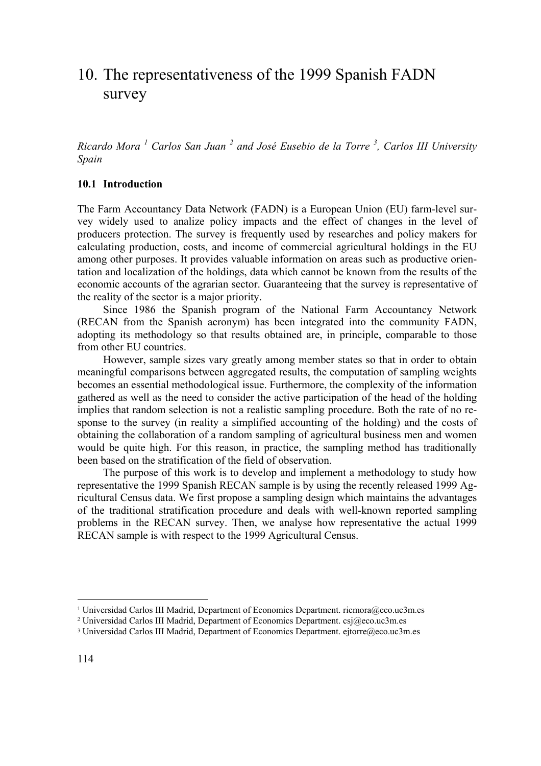# 10. The representativeness of the 1999 Spanish FADN survey

*Ricardo Mora <sup>1</sup> Carlos San Juan <sup>2</sup> and José Eusebio de la Torre <sup>3</sup> , Carlos III University Spain* 

## **10.1 Introduction**

The Farm Accountancy Data Network (FADN) is a European Union (EU) farm-level survey widely used to analize policy impacts and the effect of changes in the level of producers protection. The survey is frequently used by researches and policy makers for calculating production, costs, and income of commercial agricultural holdings in the EU among other purposes. It provides valuable information on areas such as productive orientation and localization of the holdings, data which cannot be known from the results of the economic accounts of the agrarian sector. Guaranteeing that the survey is representative of the reality of the sector is a major priority.

 Since 1986 the Spanish program of the National Farm Accountancy Network (RECAN from the Spanish acronym) has been integrated into the community FADN, adopting its methodology so that results obtained are, in principle, comparable to those from other EU countries.

 However, sample sizes vary greatly among member states so that in order to obtain meaningful comparisons between aggregated results, the computation of sampling weights becomes an essential methodological issue. Furthermore, the complexity of the information gathered as well as the need to consider the active participation of the head of the holding implies that random selection is not a realistic sampling procedure. Both the rate of no response to the survey (in reality a simplified accounting of the holding) and the costs of obtaining the collaboration of a random sampling of agricultural business men and women would be quite high. For this reason, in practice, the sampling method has traditionally been based on the stratification of the field of observation.

 The purpose of this work is to develop and implement a methodology to study how representative the 1999 Spanish RECAN sample is by using the recently released 1999 Agricultural Census data. We first propose a sampling design which maintains the advantages of the traditional stratification procedure and deals with well-known reported sampling problems in the RECAN survey. Then, we analyse how representative the actual 1999 RECAN sample is with respect to the 1999 Agricultural Census.

<sup>1</sup> Universidad Carlos III Madrid, Department of Economics Department. ricmora@eco.uc3m.es

<sup>2</sup> Universidad Carlos III Madrid, Department of Economics Department. csj@eco.uc3m.es

<sup>&</sup>lt;sup>3</sup> Universidad Carlos III Madrid, Department of Economics Department. ejtorre@eco.uc3m.es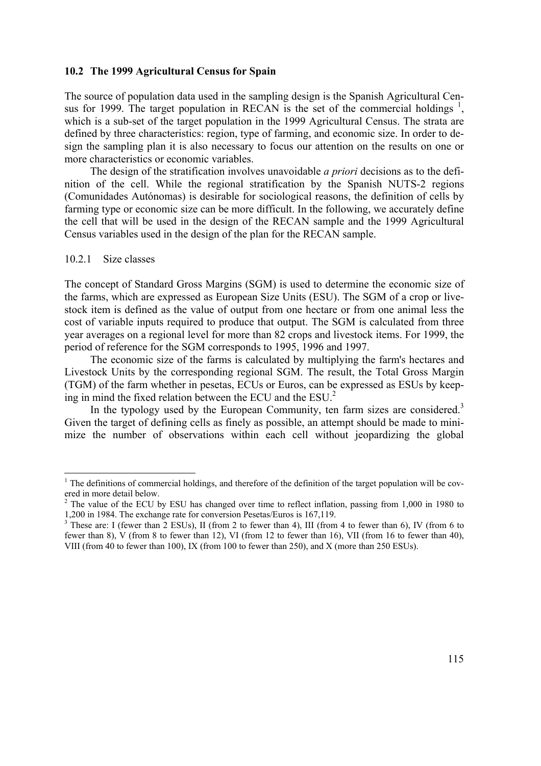# **10.2 The 1999 Agricultural Census for Spain**

The source of population data used in the sampling design is the Spanish Agricultural Census for 1999. The target population in RECAN is the set of the commercial holdings  $\frac{1}{2}$ , which is a sub-set of the target population in the 1999 Agricultural Census. The strata are defined by three characteristics: region, type of farming, and economic size. In order to design the sampling plan it is also necessary to focus our attention on the results on one or more characteristics or economic variables.

 The design of the stratification involves unavoidable *a priori* decisions as to the definition of the cell. While the regional stratification by the Spanish NUTS-2 regions (Comunidades Autónomas) is desirable for sociological reasons, the definition of cells by farming type or economic size can be more difficult. In the following, we accurately define the cell that will be used in the design of the RECAN sample and the 1999 Agricultural Census variables used in the design of the plan for the RECAN sample.

#### 10.2.1 Size classes

 $\overline{a}$ 

The concept of Standard Gross Margins (SGM) is used to determine the economic size of the farms, which are expressed as European Size Units (ESU). The SGM of a crop or livestock item is defined as the value of output from one hectare or from one animal less the cost of variable inputs required to produce that output. The SGM is calculated from three year averages on a regional level for more than 82 crops and livestock items. For 1999, the period of reference for the SGM corresponds to 1995, 1996 and 1997.

 The economic size of the farms is calculated by multiplying the farm's hectares and Livestock Units by the corresponding regional SGM. The result, the Total Gross Margin (TGM) of the farm whether in pesetas, ECUs or Euros, can be expressed as ESUs by keeping in mind the fixed relation between the ECU and the ESU.2

In the typology used by the European Community, ten farm sizes are considered.<sup>3</sup> Given the target of defining cells as finely as possible, an attempt should be made to minimize the number of observations within each cell without jeopardizing the global

 $<sup>1</sup>$  The definitions of commercial holdings, and therefore of the definition of the target population will be cov-</sup> ered in more detail below.

 $2^2$  The value of the ECU by ESU has changed over time to reflect inflation, passing from 1,000 in 1980 to 1,200 in 1984. The exchange rate for conversion Pesetas/Euros is 167,119.

<sup>&</sup>lt;sup>3</sup> These are: I (fewer than 2 ESUs), II (from 2 to fewer than 4), III (from 4 to fewer than 6), IV (from 6 to fewer than 8), V (from 8 to fewer than 12), VI (from 12 to fewer than 16), VII (from 16 to fewer than 40), VIII (from 40 to fewer than 100), IX (from 100 to fewer than 250), and X (more than 250 ESUs).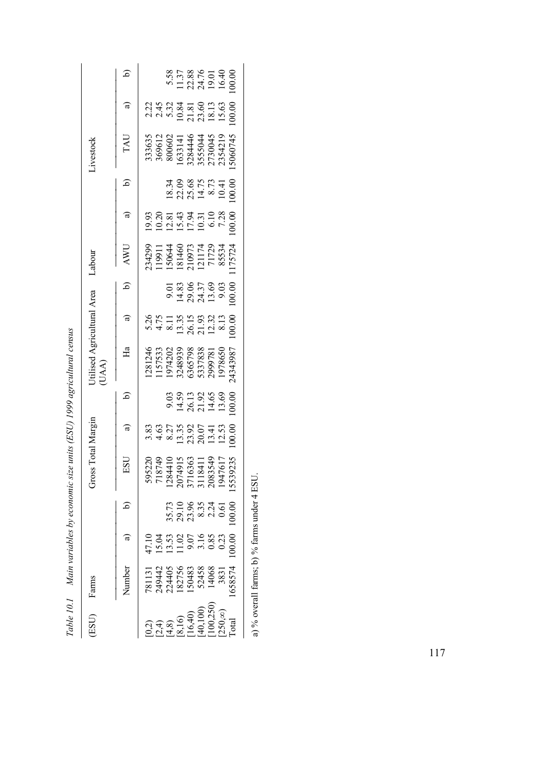| $Cn$ is $Cn$ .                                      |
|-----------------------------------------------------|
|                                                     |
|                                                     |
| era Caracter Control Control Control Caracter State |
| l                                                   |
|                                                     |
|                                                     |
| .<br>;<br>$\vdots$<br>;<br>;<br>;                   |

|                                     |               | 5.58<br>11.37<br>22.38<br>19.40<br>16.40<br>16.40                                                                                                                                                                                                                                                                 |
|-------------------------------------|---------------|-------------------------------------------------------------------------------------------------------------------------------------------------------------------------------------------------------------------------------------------------------------------------------------------------------------------|
|                                     | $\widehat{a}$ |                                                                                                                                                                                                                                                                                                                   |
| ivestock                            | TAU           | 333635<br>369612<br>369602<br>300602<br>16331446<br>16334446<br>3555044<br>27354219<br>27354219                                                                                                                                                                                                                   |
|                                     |               | $\begin{array}{l} 18.34 \\ 22.09 \\ 25.68 \\ 14.73 \\ 10.41 \\ 10.00 \end{array}$                                                                                                                                                                                                                                 |
|                                     | $\widehat{a}$ | $\begin{array}{c} 9.93 \\ 10.20 \\ 21.43 \\ 11.54 \\ 13.43 \\ 15.54 \\ 10.0 \\ 10.0 \\ 10.0 \\ 00.0 \\ 00.0 \\ \end{array}$                                                                                                                                                                                       |
| Labour                              | AWU           | 234299<br>119911<br>150644<br>181460<br>18534<br>17728<br>25534<br>2724                                                                                                                                                                                                                                           |
|                                     | $\Theta$      | $\begin{array}{c} 9.01 \\ 9.83 \\ 14.83 \\ 29.05 \\ 7 \\ 13.69 \\ 0 \\ 0 \\ 0 \\ 0 \\ \end{array}$                                                                                                                                                                                                                |
|                                     | $\widehat{a}$ | $5.26$<br>$4.75$<br>$1.35$<br>$1.35$<br>$2.5$<br>$2.32$<br>$2.32$<br>$2.3$<br>$2.3$<br>$2.3$<br>$2.3$<br>$2.3$<br>$2.3$                                                                                                                                                                                           |
| Jtilised Agricultural Area<br>(UAA) | Ha            | 1281246<br>1157533<br>1974202<br>19748939<br>5357838<br>535783850<br>1978650<br>1978650                                                                                                                                                                                                                           |
|                                     | $\Theta$      | 9.03<br>14.59<br>26.13<br>21.4.69<br>13.69                                                                                                                                                                                                                                                                        |
|                                     | $\widehat{a}$ |                                                                                                                                                                                                                                                                                                                   |
| Fross Total Margin                  | ESU           | 595220<br>718749<br>7184410<br>1284410<br>2005 1518411<br>3118411<br>2083549<br>2083549<br>209235                                                                                                                                                                                                                 |
|                                     |               | $35.73$<br>$29.10$<br>$23.34$<br>$23.34$<br>$24.5$<br>$20.0$<br>$20.0$<br>$20.0$                                                                                                                                                                                                                                  |
|                                     |               | 00.00<br>$47.10$<br>$15.03$<br>$15.02$<br>$-9.05$<br>$-0.83$<br>$-0.02$<br>$-0.02$                                                                                                                                                                                                                                |
| Farms                               | Number        | 781131<br>249442<br>224405<br>182756<br>183458<br>14068<br>14068<br>658574                                                                                                                                                                                                                                        |
| (ESU)                               |               | $\begin{array}{l} (0.2)\\ (2.4)\\ (1.6)\\ (2.5)\\ (3.6)\\ (4.6)\\ (5.40)\\ (6.40)\\ (7.6)\\ (9.25)\\ (10.25)\\ (10.25)\\ (10.25)\\ (10.25)\\ (10.25)\\ (10.25)\\ (10.25)\\ (10.25)\\ (10.25)\\ (10.25)\\ (10.25)\\ (10.25)\\ (10.25)\\ (10.25)\\ (10.25)\\ (10.25)\\ (10.25)\\ (10.25)\\ (10.25$<br>$250, \infty$ |

a) % overall farms; b) % farms under 4 ESU. a) % overall farms; b) % farms under 4 ESU.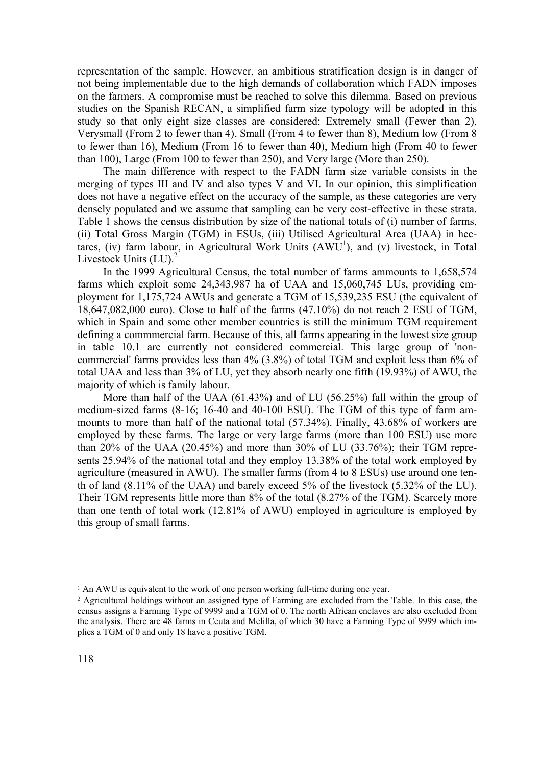representation of the sample. However, an ambitious stratification design is in danger of not being implementable due to the high demands of collaboration which FADN imposes on the farmers. A compromise must be reached to solve this dilemma. Based on previous studies on the Spanish RECAN, a simplified farm size typology will be adopted in this study so that only eight size classes are considered: Extremely small (Fewer than 2), Verysmall (From 2 to fewer than 4), Small (From 4 to fewer than 8), Medium low (From 8 to fewer than 16), Medium (From 16 to fewer than 40), Medium high (From 40 to fewer than 100), Large (From 100 to fewer than 250), and Very large (More than 250).

 The main difference with respect to the FADN farm size variable consists in the merging of types III and IV and also types V and VI. In our opinion, this simplification does not have a negative effect on the accuracy of the sample, as these categories are very densely populated and we assume that sampling can be very cost-effective in these strata. Table 1 shows the census distribution by size of the national totals of (i) number of farms, (ii) Total Gross Margin (TGM) in ESUs, (iii) Utilised Agricultural Area (UAA) in hectares, (iv) farm labour, in Agricultural Work Units  $(AWU^1)$ , and (v) livestock, in Total Livestock Units  $(LU)$ .<sup>2</sup>

 In the 1999 Agricultural Census, the total number of farms ammounts to 1,658,574 farms which exploit some 24,343,987 ha of UAA and 15,060,745 LUs, providing employment for 1,175,724 AWUs and generate a TGM of 15,539,235 ESU (the equivalent of 18,647,082,000 euro). Close to half of the farms (47.10%) do not reach 2 ESU of TGM, which in Spain and some other member countries is still the minimum TGM requirement defining a commmercial farm. Because of this, all farms appearing in the lowest size group in table 10.1 are currently not considered commercial. This large group of 'noncommercial' farms provides less than 4% (3.8%) of total TGM and exploit less than 6% of total UAA and less than 3% of LU, yet they absorb nearly one fifth (19.93%) of AWU, the majority of which is family labour.

 More than half of the UAA (61.43%) and of LU (56.25%) fall within the group of medium-sized farms (8-16; 16-40 and 40-100 ESU). The TGM of this type of farm ammounts to more than half of the national total (57.34%). Finally, 43.68% of workers are employed by these farms. The large or very large farms (more than 100 ESU) use more than 20% of the UAA  $(20.45%)$  and more than 30% of LU  $(33.76%)$ ; their TGM represents 25.94% of the national total and they employ 13.38% of the total work employed by agriculture (measured in AWU). The smaller farms (from 4 to 8 ESUs) use around one tenth of land (8.11% of the UAA) and barely exceed 5% of the livestock (5.32% of the LU). Their TGM represents little more than 8% of the total (8.27% of the TGM). Scarcely more than one tenth of total work (12.81% of AWU) employed in agriculture is employed by this group of small farms.

<sup>&</sup>lt;sup>1</sup> An AWU is equivalent to the work of one person working full-time during one year.

<sup>2</sup> Agricultural holdings without an assigned type of Farming are excluded from the Table. In this case, the census assigns a Farming Type of 9999 and a TGM of 0. The north African enclaves are also excluded from the analysis. There are 48 farms in Ceuta and Melilla, of which 30 have a Farming Type of 9999 which implies a TGM of 0 and only 18 have a positive TGM.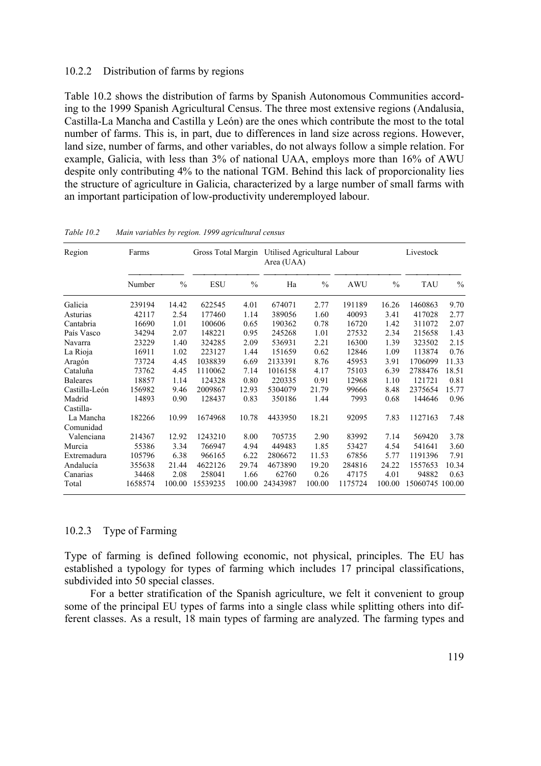# 10.2.2 Distribution of farms by regions

Table 10.2 shows the distribution of farms by Spanish Autonomous Communities according to the 1999 Spanish Agricultural Census. The three most extensive regions (Andalusia, Castilla-La Mancha and Castilla y León) are the ones which contribute the most to the total number of farms. This is, in part, due to differences in land size across regions. However, land size, number of farms, and other variables, do not always follow a simple relation. For example, Galicia, with less than 3% of national UAA, employs more than 16% of AWU despite only contributing 4% to the national TGM. Behind this lack of proporcionality lies the structure of agriculture in Galicia, characterized by a large number of small farms with an important participation of low-productivity underemployed labour.

| Region          | Farms   |               | Gross Total Margin |               | Utilised Agricultural Labour<br>Area (UAA) |               |            |               | Livestock  |               |
|-----------------|---------|---------------|--------------------|---------------|--------------------------------------------|---------------|------------|---------------|------------|---------------|
|                 | Number  | $\frac{0}{0}$ | <b>ESU</b>         | $\frac{0}{0}$ | Ha                                         | $\frac{0}{0}$ | <b>AWU</b> | $\frac{0}{0}$ | <b>TAU</b> | $\frac{0}{0}$ |
| Galicia         | 239194  | 14.42         | 622545             | 4.01          | 674071                                     | 2.77          | 191189     | 16.26         | 1460863    | 9.70          |
| Asturias        | 42117   | 2.54          | 177460             | 1.14          | 389056                                     | 1.60          | 40093      | 3.41          | 417028     | 2.77          |
| Cantabria       | 16690   | 1.01          | 100606             | 0.65          | 190362                                     | 0.78          | 16720      | 1.42          | 311072     | 2.07          |
| País Vasco      | 34294   | 2.07          | 148221             | 0.95          | 245268                                     | 1.01          | 27532      | 2.34          | 215658     | 1.43          |
| Navarra         | 23229   | 1.40          | 324285             | 2.09          | 536931                                     | 2.21          | 16300      | 1.39          | 323502     | 2.15          |
| La Rioja        | 16911   | 1.02          | 223127             | 1.44          | 151659                                     | 0.62          | 12846      | 1.09          | 113874     | 0.76          |
| Aragón          | 73724   | 4.45          | 1038839            | 6.69          | 2133391                                    | 8.76          | 45953      | 3.91          | 1706099    | 11.33         |
| Cataluña        | 73762   | 4.45          | 1110062            | 7.14          | 1016158                                    | 4.17          | 75103      | 6.39          | 2788476    | 18.51         |
| <b>Baleares</b> | 18857   | 1.14          | 124328             | 0.80          | 220335                                     | 0.91          | 12968      | 1.10          | 121721     | 0.81          |
| Castilla-León   | 156982  | 9.46          | 2009867            | 12.93         | 5304079                                    | 21.79         | 99666      | 8.48          | 2375654    | 15.77         |
| Madrid          | 14893   | 0.90          | 128437             | 0.83          | 350186                                     | 1.44          | 7993       | 0.68          | 144646     | 0.96          |
| Castilla-       |         |               |                    |               |                                            |               |            |               |            |               |
| La Mancha       | 182266  | 10.99         | 1674968            | 10.78         | 4433950                                    | 18.21         | 92095      | 7.83          | 1127163    | 7.48          |
| Comunidad       |         |               |                    |               |                                            |               |            |               |            |               |
| Valenciana      | 214367  | 12.92         | 1243210            | 8.00          | 705735                                     | 2.90          | 83992      | 7.14          | 569420     | 3.78          |
| Murcia          | 55386   | 3.34          | 766947             | 4.94          | 449483                                     | 1.85          | 53427      | 4.54          | 541641     | 3.60          |
| Extremadura     | 105796  | 6.38          | 966165             | 6.22          | 2806672                                    | 11.53         | 67856      | 5.77          | 1191396    | 7.91          |
| Andalucía       | 355638  | 21.44         | 4622126            | 29.74         | 4673890                                    | 19.20         | 284816     | 24.22         | 1557653    | 10.34         |
| Canarias        | 34468   | 2.08          | 258041             | 1.66          | 62760                                      | 0.26          | 47175      | 4.01          | 94882      | 0.63          |
| Total           | 1658574 | 100.00        | 15539235           | 100.00        | 24343987                                   | 100.00        | 1175724    | 100.00        | 15060745   | 100.00        |

*Table 10.2 Main variables by region. 1999 agricultural census* 

# 10.2.3 Type of Farming

Type of farming is defined following economic, not physical, principles. The EU has established a typology for types of farming which includes 17 principal classifications, subdivided into 50 special classes.

 For a better stratification of the Spanish agriculture, we felt it convenient to group some of the principal EU types of farms into a single class while splitting others into different classes. As a result, 18 main types of farming are analyzed. The farming types and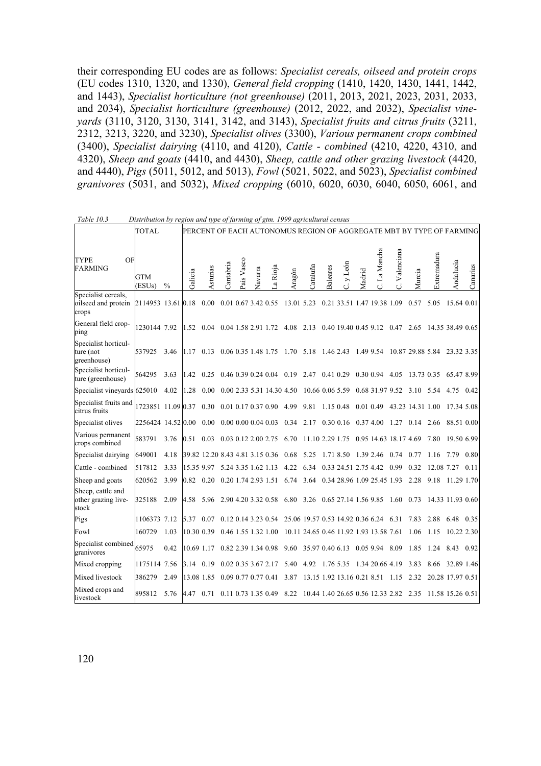their corresponding EU codes are as follows: *Specialist cereals, oilseed and protein crops* (EU codes 1310, 1320, and 1330), *General field cropping* (1410, 1420, 1430, 1441, 1442, and 1443), *Specialist horticulture (not greenhouse)* (2011, 2013, 2021, 2023, 2031, 2033, and 2034), *Specialist horticulture (greenhouse)* (2012, 2022, and 2032), *Specialist vineyards* (3110, 3120, 3130, 3141, 3142, and 3143), *Specialist fruits and citrus fruits* (3211, 2312, 3213, 3220, and 3230), *Specialist olives* (3300), *Various permanent crops combined* (3400), *Specialist dairying* (4110, and 4120), *Cattle - combined* (4210, 4220, 4310, and 4320), *Sheep and goats* (4410, and 4430), *Sheep, cattle and other grazing livestock* (4420, and 4440), *Pigs* (5011, 5012, and 5013), *Fowl* (5021, 5022, and 5023), *Specialist combined granivores* (5031, and 5032), *Mixed cropping* (6010, 6020, 6030, 6040, 6050, 6061, and

|                                                                        | <b>TOTAL</b>               |      |            |                                 |           |                          |         |                            |            |                                        |                 |                            |        |                 |                                      |                  | PERCENT OF EACH AUTONOMUS REGION OF AGGREGATE MBT BY TYPE OF FARMING |                  |          |
|------------------------------------------------------------------------|----------------------------|------|------------|---------------------------------|-----------|--------------------------|---------|----------------------------|------------|----------------------------------------|-----------------|----------------------------|--------|-----------------|--------------------------------------|------------------|----------------------------------------------------------------------|------------------|----------|
| OF<br><b>TYPE</b><br><b>FARMING</b>                                    | GTM<br>(ESU <sub>s</sub> ) | $\%$ | Galicia    | Asturias                        | Cantabria | País Vasco               | Navarra | a Rioja                    | Aragón     | Cataluña                               | <b>Baleares</b> | y León                     | Madrid | La Mancha       | Valenciana                           | Murcia           | Extremadura                                                          | Andalucía        | Canarias |
| Specialist cereals,<br>oilseed and protein 2114953 13.61 0.18<br>crops |                            |      |            | 0.00                            |           | 0.01 0.67 3.42 0.55      |         |                            | 13.01 5.23 |                                        |                 | 0.21 33.51 1.47 19.38 1.09 |        |                 |                                      | 0.57             | 5.05                                                                 | 15.64 0.01       |          |
| General field crop-<br>ping                                            | 1230144 7.92               |      | 1.52       | 0.04                            |           | 0.04 1.58 2.91 1.72      |         |                            | 4.08       | 2.13                                   |                 | 0.40 19.40 0.45 9.12       |        |                 | 0.47                                 | 2.65             |                                                                      | 14.35 38.49 0.65 |          |
| Specialist horticul-<br>ture (not<br>greenhouse)                       | 537925                     | 3.46 | 1.17       | 0.13                            |           | 0.06 0.35 1.48 1.75      |         |                            | 1.70 5.18  |                                        |                 | 1.46 2.43                  |        | 1.49 9.54       |                                      | 10.87 29.88 5.84 |                                                                      | 23.32 3.35       |          |
| Specialist horticul-<br>ture (greenhouse)                              | 564295                     | 3.63 | 1.42       | 0.25                            |           | 0.46 0.39 0.24 0.04      |         |                            | 0.19       | 2.47                                   |                 | 0.41 0.29                  |        | 0.30 0.94       | 4.05                                 | 13.73 0.35       |                                                                      | 65.47 8.99       |          |
| Specialist vineyards 625010                                            |                            | 4.02 | 1.28       | 0.00                            |           |                          |         | 0.00 2.33 5.31 14.30 4.50  |            | 10.66 0.06 5.59                        |                 |                            |        | 0.68 31.97 9.52 |                                      | 3.10             | 5.54                                                                 | 4.75             | 0.42     |
| Specialist fruits and<br>citrus fruits                                 | 1723851 11.09 0.37         |      |            | 0.30                            |           | 0.01 0.17 0.37 0.90      |         |                            | 4.99       | 9.81                                   |                 | 1.15 0.48                  |        | 0.01 0.49       |                                      | 43.23 14.31 1.00 |                                                                      | 17.34 5.08       |          |
| Specialist olives                                                      | 2256424 14.52 0.00         |      |            | 0.00                            |           | $0.00\ 0.00\ 0.04\ 0.03$ |         |                            | 0.34       | 2.17                                   |                 |                            |        |                 | $0.30\ 0.16\ 0.37\ 4.00\ 1.27\ 0.14$ |                  | 2.66                                                                 | 88.51 0.00       |          |
| Various permanent<br>crops combined                                    | 583791                     | 3.76 | 0.51       | 0.03                            |           | 0.03 0.12 2.00 2.75      |         |                            | 6.70       | 11.10 2.29 1.75                        |                 |                            |        |                 | 0.95 14.63 18.17 4.69                |                  | 7.80                                                                 | 19.50 6.99       |          |
| Specialist dairying                                                    | 649001                     | 4.18 |            | 39.82 12.20 8.43 4.81 3.15 0.36 |           |                          |         |                            | 0.68       | 5.25                                   |                 | 1.71 8.50                  |        | 1.39 2.46       | 0.74                                 | 0.77             |                                                                      |                  | 0.80     |
| Cattle - combined                                                      | 517812                     | 3.33 | 15.35 9.97 |                                 |           | 5.24 3.35 1.62 1.13      |         |                            | 4.22       | 6.34                                   |                 | 0.33 24.51 2.75 4.42       |        |                 | 0.99                                 | 0.32             | 12.08                                                                | 7.27             | 0.11     |
| Sheep and goats                                                        | 620562                     | 3.99 | 0.82 0.20  |                                 |           | 0.20 1.74 2.93 1.51      |         |                            | 6.74       | 3.64                                   |                 | 0.34 28.96 1.09 25.45 1.93 |        |                 |                                      | 2.28             | 9.18                                                                 | 11.29 1.70       |          |
| Sheep, cattle and<br>other grazing live-<br>stock                      | 325188                     | 2.09 | 4.58       | 5.96                            |           | 2.90 4.20 3.32 0.58      |         |                            | 6.80 3.26  |                                        |                 | 0.65 27.14 1.56 9.85       |        |                 | 1.60                                 | 0.73             |                                                                      | 14.33 11.93 0.60 |          |
| Pigs                                                                   | 1106373 7.12               |      | 5.37       | 0.07                            |           | 0.12 0.14 3.23 0.54      |         |                            |            | 25.06 19.57 0.53 14.92 0.36 6.24       |                 |                            |        |                 | 6.31                                 | 7.83             | 2.88                                                                 | 6.48             | 0.35     |
| Fowl                                                                   | 160729                     | 1.03 | 10.30 0.39 |                                 |           | 0.46 1.55 1.32 1.00      |         |                            |            | 10.11 24.65 0.46 11.92 1.93 13.58 7.61 |                 |                            |        |                 |                                      | 1.06             | 1.15                                                                 | 10.22 2.30       |          |
| Specialist combined<br>granivores                                      | 65975                      | 0.42 | 10.69 1.17 |                                 |           | 0.82 2.39 1.34 0.98      |         |                            | 9.60       | 35.97 0.40 6.13                        |                 |                            |        | 0.05 9.94       | 8.09                                 | 1.85             | 1.24                                                                 | 8.43             | 0.92     |
| Mixed cropping                                                         | 1175114 7.56               |      | 3.14       | 0.19                            |           | 0.02 0.35 3.67 2.17      |         |                            | 5.40       | 4.92                                   | 1.76 5.35       |                            |        | 1.34 20.66 4.19 |                                      | 3.83             | 8.66                                                                 | 32.89 1.46       |          |
| Mixed livestock                                                        | 386279                     | 2.49 | 13.08 1.85 |                                 |           | 0.09 0.77 0.77 0.41      |         |                            | 3.87       |                                        |                 | 13.15 1.92 13.16 0.21 8.51 |        |                 | 1.15                                 | 2.32             |                                                                      | 20.28 17.97 0.51 |          |
| Mixed crops and<br>livestock                                           | 895812                     | 5.76 | 4.47       | 0.71                            |           |                          |         | $0.11$ 0.73 1.35 0.49 8.22 |            | 10.44 1.40 26.65 0.56 12.33 2.82       |                 |                            |        |                 |                                      | 2.35             | 11.58 15.26 0.51                                                     |                  |          |

| Table 10.3 |  | Distribution by region and type of farming of gtm. 1999 agricultural census |
|------------|--|-----------------------------------------------------------------------------|
|            |  |                                                                             |
|            |  |                                                                             |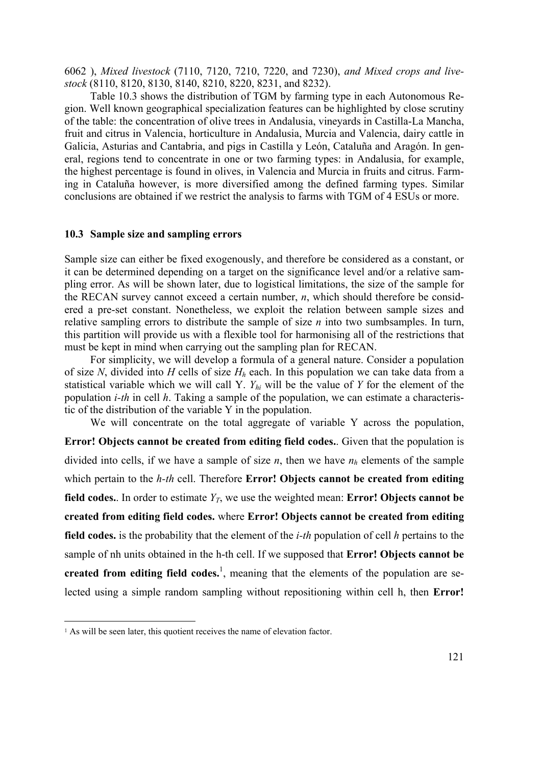6062 ), *Mixed livestock* (7110, 7120, 7210, 7220, and 7230), *and Mixed crops and livestock* (8110, 8120, 8130, 8140, 8210, 8220, 8231, and 8232).

 Table 10.3 shows the distribution of TGM by farming type in each Autonomous Region. Well known geographical specialization features can be highlighted by close scrutiny of the table: the concentration of olive trees in Andalusia, vineyards in Castilla-La Mancha, fruit and citrus in Valencia, horticulture in Andalusia, Murcia and Valencia, dairy cattle in Galicia, Asturias and Cantabria, and pigs in Castilla y León, Cataluña and Aragón. In general, regions tend to concentrate in one or two farming types: in Andalusia, for example, the highest percentage is found in olives, in Valencia and Murcia in fruits and citrus. Farming in Cataluña however, is more diversified among the defined farming types. Similar conclusions are obtained if we restrict the analysis to farms with TGM of 4 ESUs or more.

## **10.3 Sample size and sampling errors**

Sample size can either be fixed exogenously, and therefore be considered as a constant, or it can be determined depending on a target on the significance level and/or a relative sampling error. As will be shown later, due to logistical limitations, the size of the sample for the RECAN survey cannot exceed a certain number, *n*, which should therefore be considered a pre-set constant. Nonetheless, we exploit the relation between sample sizes and relative sampling errors to distribute the sample of size *n* into two sumbsamples. In turn, this partition will provide us with a flexible tool for harmonising all of the restrictions that must be kept in mind when carrying out the sampling plan for RECAN.

 For simplicity, we will develop a formula of a general nature. Consider a population of size *N*, divided into *H* cells of size *Hh* each. In this population we can take data from a statistical variable which we will call Y. *Yhi* will be the value of *Y* for the element of the population *i-th* in cell *h*. Taking a sample of the population, we can estimate a characteristic of the distribution of the variable Y in the population.

 We will concentrate on the total aggregate of variable Y across the population, **Error! Objects cannot be created from editing field codes.**. Given that the population is divided into cells, if we have a sample of size  $n$ , then we have  $n_h$  elements of the sample which pertain to the *h-th* cell. Therefore **Error! Objects cannot be created from editing field codes.**. In order to estimate  $Y_T$ , we use the weighted mean: **Error!** Objects cannot be **created from editing field codes.** where **Error! Objects cannot be created from editing field codes.** is the probability that the element of the *i-th* population of cell *h* pertains to the sample of nh units obtained in the h-th cell. If we supposed that **Error! Objects cannot be**  created from editing field codes.<sup>1</sup>, meaning that the elements of the population are selected using a simple random sampling without repositioning within cell h, then **Error!** 

<sup>&</sup>lt;sup>1</sup> As will be seen later, this quotient receives the name of elevation factor.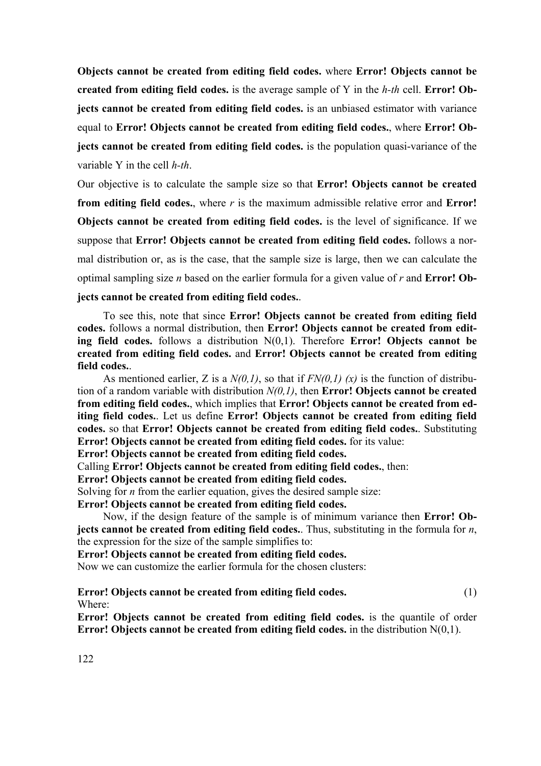**Objects cannot be created from editing field codes.** where **Error! Objects cannot be created from editing field codes.** is the average sample of Y in the *h-th* cell. **Error! Objects cannot be created from editing field codes.** is an unbiased estimator with variance equal to **Error! Objects cannot be created from editing field codes.**, where **Error! Objects cannot be created from editing field codes.** is the population quasi-variance of the variable Y in the cell *h-th*.

Our objective is to calculate the sample size so that **Error! Objects cannot be created from editing field codes.**, where *r* is the maximum admissible relative error and **Error! Objects cannot be created from editing field codes.** is the level of significance. If we suppose that **Error! Objects cannot be created from editing field codes.** follows a normal distribution or, as is the case, that the sample size is large, then we can calculate the optimal sampling size *n* based on the earlier formula for a given value of *r* and **Error! Ob-**

# **jects cannot be created from editing field codes.**.

 To see this, note that since **Error! Objects cannot be created from editing field codes.** follows a normal distribution, then **Error! Objects cannot be created from editing field codes.** follows a distribution N(0,1). Therefore **Error! Objects cannot be created from editing field codes.** and **Error! Objects cannot be created from editing field codes.**.

 As mentioned earlier, Z is a *N(0,1)*, so that if *FN(0,1) (x)* is the function of distribution of a random variable with distribution *N(0,1)*, then **Error! Objects cannot be created from editing field codes.**, which implies that **Error! Objects cannot be created from editing field codes.**. Let us define **Error! Objects cannot be created from editing field codes.** so that **Error! Objects cannot be created from editing field codes.**. Substituting **Error! Objects cannot be created from editing field codes.** for its value:

**Error! Objects cannot be created from editing field codes.**

Calling **Error! Objects cannot be created from editing field codes.**, then:

**Error! Objects cannot be created from editing field codes.**

Solving for *n* from the earlier equation, gives the desired sample size:

**Error! Objects cannot be created from editing field codes.**

 Now, if the design feature of the sample is of minimum variance then **Error! Objects cannot be created from editing field codes.**. Thus, substituting in the formula for *n*, the expression for the size of the sample simplifies to:

**Error! Objects cannot be created from editing field codes.**

Now we can customize the earlier formula for the chosen clusters:

**Error! Objects cannot be created from editing field codes.** (1) Where:

**Error! Objects cannot be created from editing field codes.** is the quantile of order **Error! Objects cannot be created from editing field codes.** in the distribution N(0,1).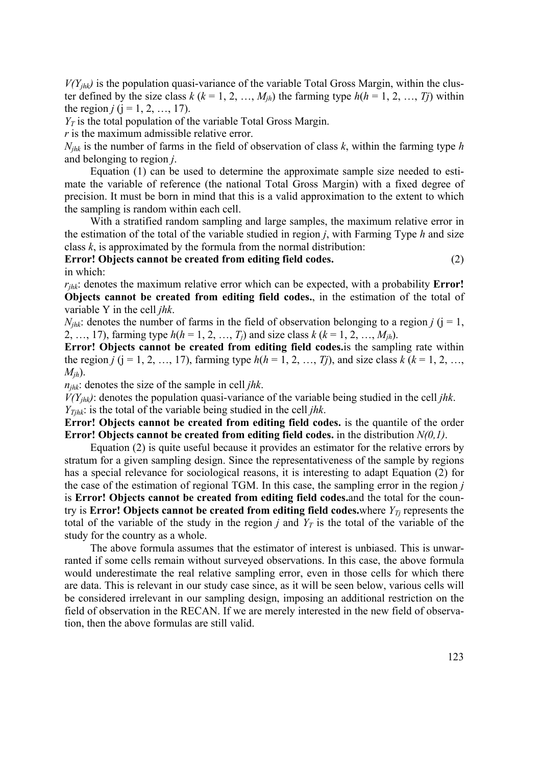$V(Y_{jhk})$  is the population quasi-variance of the variable Total Gross Margin, within the cluster defined by the size class  $k$  ( $k = 1, 2, ..., M_{ih}$ ) the farming type  $h(h = 1, 2, ..., T_i)$  within the region  $j$  ( $j = 1, 2, ..., 17$ ).

 $Y_T$  is the total population of the variable Total Gross Margin.

*r* is the maximum admissible relative error.

*Njhk* is the number of farms in the field of observation of class *k*, within the farming type *h* and belonging to region *j*.

 Equation (1) can be used to determine the approximate sample size needed to estimate the variable of reference (the national Total Gross Margin) with a fixed degree of precision. It must be born in mind that this is a valid approximation to the extent to which the sampling is random within each cell.

 With a stratified random sampling and large samples, the maximum relative error in the estimation of the total of the variable studied in region *j*, with Farming Type *h* and size class *k*, is approximated by the formula from the normal distribution:

**Error! Objects cannot be created from editing field codes.** (2) in which:

*rjhk*: denotes the maximum relative error which can be expected, with a probability **Error! Objects cannot be created from editing field codes.**, in the estimation of the total of variable Y in the cell *jhk*.

 $N_{ihk}$ : denotes the number of farms in the field of observation belonging to a region *j* ( $j = 1$ , 2, …, 17), farming type  $h(h = 1, 2, ..., T_i)$  and size class  $k (k = 1, 2, ..., M_{ih})$ .

**Error! Objects cannot be created from editing field codes.**is the sampling rate within the region *j* ( $j = 1, 2, ..., 17$ ), farming type  $h(h = 1, 2, ..., Tj)$ , and size class  $k (k = 1, 2, ...,$ *Mjh*).

*njhk*: denotes the size of the sample in cell *jhk*.

 $V(Y_{ihk})$ : denotes the population quasi-variance of the variable being studied in the cell *jhk*.

*YTjhk*: is the total of the variable being studied in the cell *jhk*.

**Error! Objects cannot be created from editing field codes.** is the quantile of the order **Error! Objects cannot be created from editing field codes.** in the distribution *N(0,1)*.

 Equation (2) is quite useful because it provides an estimator for the relative errors by stratum for a given sampling design. Since the representativeness of the sample by regions has a special relevance for sociological reasons, it is interesting to adapt Equation (2) for the case of the estimation of regional TGM. In this case, the sampling error in the region *j* is **Error! Objects cannot be created from editing field codes.**and the total for the country is **Error! Objects cannot be created from editing field codes.**where  $Y_{Tj}$  represents the total of the variable of the study in the region *j* and  $Y_T$  is the total of the variable of the study for the country as a whole.

 The above formula assumes that the estimator of interest is unbiased. This is unwarranted if some cells remain without surveyed observations. In this case, the above formula would underestimate the real relative sampling error, even in those cells for which there are data. This is relevant in our study case since, as it will be seen below, various cells will be considered irrelevant in our sampling design, imposing an additional restriction on the field of observation in the RECAN. If we are merely interested in the new field of observation, then the above formulas are still valid.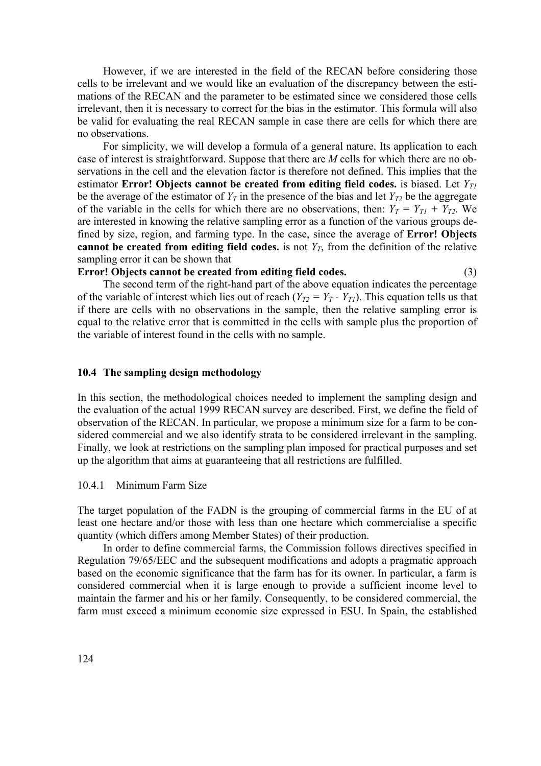However, if we are interested in the field of the RECAN before considering those cells to be irrelevant and we would like an evaluation of the discrepancy between the estimations of the RECAN and the parameter to be estimated since we considered those cells irrelevant, then it is necessary to correct for the bias in the estimator. This formula will also be valid for evaluating the real RECAN sample in case there are cells for which there are no observations.

 For simplicity, we will develop a formula of a general nature. Its application to each case of interest is straightforward. Suppose that there are *M* cells for which there are no observations in the cell and the elevation factor is therefore not defined. This implies that the estimator **Error!** Objects cannot be created from editing field codes. is biased. Let  $Y_{T1}$ be the average of the estimator of  $Y_T$  in the presence of the bias and let  $Y_{T2}$  be the aggregate of the variable in the cells for which there are no observations, then:  $Y_T = Y_{T1} + Y_{T2}$ . We are interested in knowing the relative sampling error as a function of the various groups defined by size, region, and farming type. In the case, since the average of **Error! Objects cannot be created from editing field codes.** is not  $Y_T$ , from the definition of the relative sampling error it can be shown that

# **Error! Objects cannot be created from editing field codes.** (3)

 The second term of the right-hand part of the above equation indicates the percentage of the variable of interest which lies out of reach  $(Y_{T2} = Y_T - Y_{T1})$ . This equation tells us that if there are cells with no observations in the sample, then the relative sampling error is equal to the relative error that is committed in the cells with sample plus the proportion of the variable of interest found in the cells with no sample.

# **10.4 The sampling design methodology**

In this section, the methodological choices needed to implement the sampling design and the evaluation of the actual 1999 RECAN survey are described. First, we define the field of observation of the RECAN. In particular, we propose a minimum size for a farm to be considered commercial and we also identify strata to be considered irrelevant in the sampling. Finally, we look at restrictions on the sampling plan imposed for practical purposes and set up the algorithm that aims at guaranteeing that all restrictions are fulfilled.

## 10.4.1 Minimum Farm Size

The target population of the FADN is the grouping of commercial farms in the EU of at least one hectare and/or those with less than one hectare which commercialise a specific quantity (which differs among Member States) of their production.

 In order to define commercial farms, the Commission follows directives specified in Regulation 79/65/EEC and the subsequent modifications and adopts a pragmatic approach based on the economic significance that the farm has for its owner. In particular, a farm is considered commercial when it is large enough to provide a sufficient income level to maintain the farmer and his or her family. Consequently, to be considered commercial, the farm must exceed a minimum economic size expressed in ESU. In Spain, the established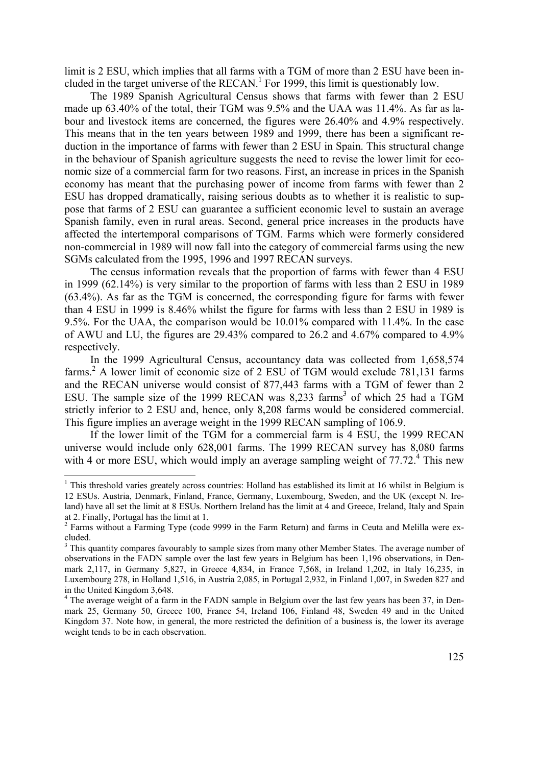limit is 2 ESU, which implies that all farms with a TGM of more than 2 ESU have been included in the target universe of the  $RECAN$ <sup>1</sup> For 1999, this limit is questionably low.

 The 1989 Spanish Agricultural Census shows that farms with fewer than 2 ESU made up 63.40% of the total, their TGM was 9.5% and the UAA was 11.4%. As far as labour and livestock items are concerned, the figures were 26.40% and 4.9% respectively. This means that in the ten years between 1989 and 1999, there has been a significant reduction in the importance of farms with fewer than 2 ESU in Spain. This structural change in the behaviour of Spanish agriculture suggests the need to revise the lower limit for economic size of a commercial farm for two reasons. First, an increase in prices in the Spanish economy has meant that the purchasing power of income from farms with fewer than 2 ESU has dropped dramatically, raising serious doubts as to whether it is realistic to suppose that farms of 2 ESU can guarantee a sufficient economic level to sustain an average Spanish family, even in rural areas. Second, general price increases in the products have affected the intertemporal comparisons of TGM. Farms which were formerly considered non-commercial in 1989 will now fall into the category of commercial farms using the new SGMs calculated from the 1995, 1996 and 1997 RECAN surveys.

 The census information reveals that the proportion of farms with fewer than 4 ESU in 1999 (62.14%) is very similar to the proportion of farms with less than 2 ESU in 1989 (63.4%). As far as the TGM is concerned, the corresponding figure for farms with fewer than 4 ESU in 1999 is 8.46% whilst the figure for farms with less than 2 ESU in 1989 is 9.5%. For the UAA, the comparison would be 10.01% compared with 11.4%. In the case of AWU and LU, the figures are 29.43% compared to 26.2 and 4.67% compared to 4.9% respectively.

 In the 1999 Agricultural Census, accountancy data was collected from 1,658,574 farms.<sup>2</sup> A lower limit of economic size of 2 ESU of TGM would exclude 781,131 farms and the RECAN universe would consist of 877,443 farms with a TGM of fewer than 2 ESU. The sample size of the 1999 RECAN was  $8,233$  farms<sup>3</sup> of which 25 had a TGM strictly inferior to 2 ESU and, hence, only 8,208 farms would be considered commercial. This figure implies an average weight in the 1999 RECAN sampling of 106.9.

 If the lower limit of the TGM for a commercial farm is 4 ESU, the 1999 RECAN universe would include only 628,001 farms. The 1999 RECAN survey has 8,080 farms with 4 or more ESU, which would imply an average sampling weight of  $77.72<sup>4</sup>$ . This new

<sup>&</sup>lt;sup>1</sup> This threshold varies greately across countries: Holland has established its limit at 16 whilst in Belgium is 12 ESUs. Austria, Denmark, Finland, France, Germany, Luxembourg, Sweden, and the UK (except N. Ireland) have all set the limit at 8 ESUs. Northern Ireland has the limit at 4 and Greece, Ireland, Italy and Spain at 2. Finally, Portugal has the limit at 1.

<sup>&</sup>lt;sup>2</sup> Farms without a Farming Type (code 9999 in the Farm Return) and farms in Ceuta and Melilla were excluded.

<sup>&</sup>lt;sup>3</sup> This quantity compares favourably to sample sizes from many other Member States. The average number of observations in the FADN sample over the last few years in Belgium has been 1,196 observations, in Denmark 2,117, in Germany 5,827, in Greece 4,834, in France 7,568, in Ireland 1,202, in Italy 16,235, in Luxembourg 278, in Holland 1,516, in Austria 2,085, in Portugal 2,932, in Finland 1,007, in Sweden 827 and in the United Kingdom 3,648.

<sup>&</sup>lt;sup>4</sup> The average weight of a farm in the FADN sample in Belgium over the last few years has been 37, in Denmark 25, Germany 50, Greece 100, France 54, Ireland 106, Finland 48, Sweden 49 and in the United Kingdom 37. Note how, in general, the more restricted the definition of a business is, the lower its average weight tends to be in each observation.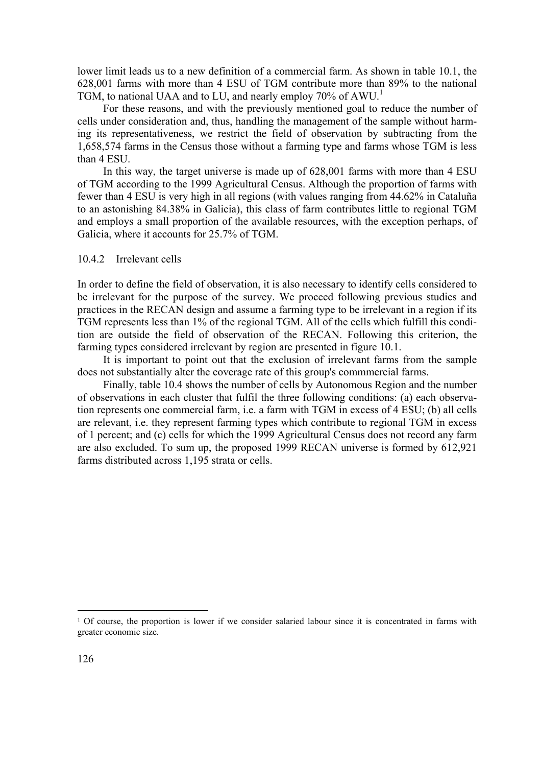lower limit leads us to a new definition of a commercial farm. As shown in table 10.1, the 628,001 farms with more than 4 ESU of TGM contribute more than 89% to the national TGM, to national UAA and to LU, and nearly employ 70% of AWU.<sup>1</sup>

 For these reasons, and with the previously mentioned goal to reduce the number of cells under consideration and, thus, handling the management of the sample without harming its representativeness, we restrict the field of observation by subtracting from the 1,658,574 farms in the Census those without a farming type and farms whose TGM is less than 4 ESU.

 In this way, the target universe is made up of 628,001 farms with more than 4 ESU of TGM according to the 1999 Agricultural Census. Although the proportion of farms with fewer than 4 ESU is very high in all regions (with values ranging from 44.62% in Cataluña to an astonishing 84.38% in Galicia), this class of farm contributes little to regional TGM and employs a small proportion of the available resources, with the exception perhaps, of Galicia, where it accounts for 25.7% of TGM.

#### 10.4.2 Irrelevant cells

In order to define the field of observation, it is also necessary to identify cells considered to be irrelevant for the purpose of the survey. We proceed following previous studies and practices in the RECAN design and assume a farming type to be irrelevant in a region if its TGM represents less than 1% of the regional TGM. All of the cells which fulfill this condition are outside the field of observation of the RECAN. Following this criterion, the farming types considered irrelevant by region are presented in figure 10.1.

 It is important to point out that the exclusion of irrelevant farms from the sample does not substantially alter the coverage rate of this group's commmercial farms.

 Finally, table 10.4 shows the number of cells by Autonomous Region and the number of observations in each cluster that fulfil the three following conditions: (a) each observation represents one commercial farm, i.e. a farm with TGM in excess of 4 ESU; (b) all cells are relevant, i.e. they represent farming types which contribute to regional TGM in excess of 1 percent; and (c) cells for which the 1999 Agricultural Census does not record any farm are also excluded. To sum up, the proposed 1999 RECAN universe is formed by 612,921 farms distributed across 1,195 strata or cells.

<sup>1</sup> Of course, the proportion is lower if we consider salaried labour since it is concentrated in farms with greater economic size.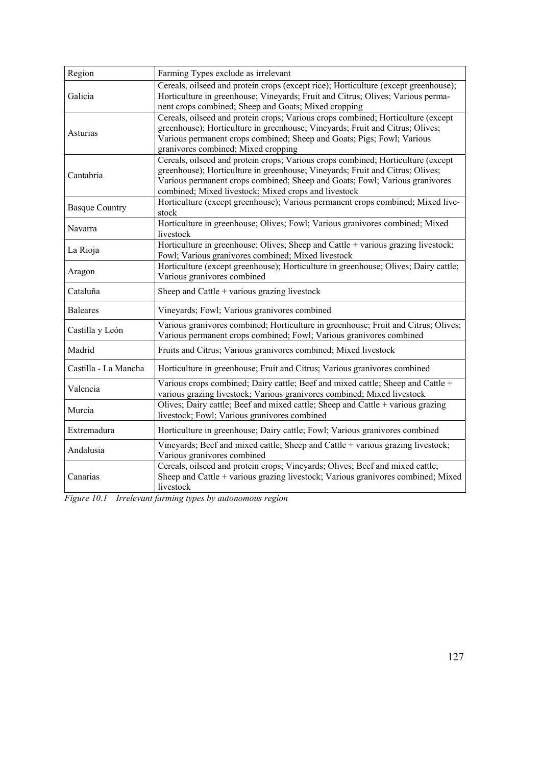| Region                | Farming Types exclude as irrelevant                                                                                                                                                                                                                                                                      |
|-----------------------|----------------------------------------------------------------------------------------------------------------------------------------------------------------------------------------------------------------------------------------------------------------------------------------------------------|
| Galicia               | Cereals, oilseed and protein crops (except rice); Horticulture (except greenhouse);<br>Horticulture in greenhouse; Vineyards; Fruit and Citrus; Olives; Various perma-<br>nent crops combined; Sheep and Goats; Mixed cropping                                                                           |
| Asturias              | Cereals, oilseed and protein crops; Various crops combined; Horticulture (except<br>greenhouse); Horticulture in greenhouse; Vineyards; Fruit and Citrus; Olives;<br>Various permanent crops combined; Sheep and Goats; Pigs; Fowl; Various<br>granivores combined; Mixed cropping                       |
| Cantabria             | Cereals, oilseed and protein crops; Various crops combined; Horticulture (except<br>greenhouse); Horticulture in greenhouse; Vineyards; Fruit and Citrus; Olives;<br>Various permanent crops combined; Sheep and Goats; Fowl; Various granivores<br>combined; Mixed livestock; Mixed crops and livestock |
| <b>Basque Country</b> | Horticulture (except greenhouse); Various permanent crops combined; Mixed live-<br>stock                                                                                                                                                                                                                 |
| Navarra               | Horticulture in greenhouse; Olives; Fowl; Various granivores combined; Mixed<br>livestock                                                                                                                                                                                                                |
| La Rioja              | Horticulture in greenhouse; Olives; Sheep and Cattle + various grazing livestock;<br>Fowl; Various granivores combined; Mixed livestock                                                                                                                                                                  |
| Aragon                | Horticulture (except greenhouse); Horticulture in greenhouse; Olives; Dairy cattle;<br>Various granivores combined                                                                                                                                                                                       |
| Cataluña              | Sheep and Cattle + various grazing livestock                                                                                                                                                                                                                                                             |
| <b>Baleares</b>       | Vineyards; Fowl; Various granivores combined                                                                                                                                                                                                                                                             |
| Castilla y León       | Various granivores combined; Horticulture in greenhouse; Fruit and Citrus; Olives;<br>Various permanent crops combined; Fowl; Various granivores combined                                                                                                                                                |
| Madrid                | Fruits and Citrus; Various granivores combined; Mixed livestock                                                                                                                                                                                                                                          |
| Castilla - La Mancha  | Horticulture in greenhouse; Fruit and Citrus; Various granivores combined                                                                                                                                                                                                                                |
| Valencia              | Various crops combined; Dairy cattle; Beef and mixed cattle; Sheep and Cattle +<br>various grazing livestock; Various granivores combined; Mixed livestock                                                                                                                                               |
| Murcia                | Olives; Dairy cattle; Beef and mixed cattle; Sheep and Cattle + various grazing<br>livestock; Fowl; Various granivores combined                                                                                                                                                                          |
| Extremadura           | Horticulture in greenhouse; Dairy cattle; Fowl; Various granivores combined                                                                                                                                                                                                                              |
| Andalusia             | Vineyards; Beef and mixed cattle; Sheep and Cattle + various grazing livestock;<br>Various granivores combined                                                                                                                                                                                           |
| Canarias              | Cereals, oilseed and protein crops; Vineyards; Olives; Beef and mixed cattle;<br>Sheep and Cattle + various grazing livestock; Various granivores combined; Mixed<br>livestock                                                                                                                           |

*Figure 10.1 Irrelevant farming types by autonomous region*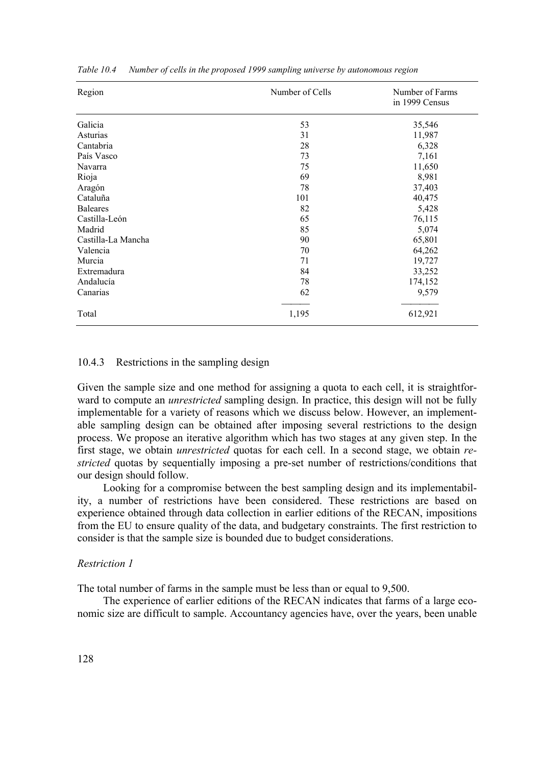| Region             | Number of Cells | Number of Farms<br>in 1999 Census |  |  |
|--------------------|-----------------|-----------------------------------|--|--|
| Galicia            | 53              | 35,546                            |  |  |
| Asturias           | 31              | 11,987                            |  |  |
| Cantabria          | 28              | 6,328                             |  |  |
| País Vasco         | 73              | 7,161                             |  |  |
| Navarra            | 75              | 11,650                            |  |  |
| Rioja              | 69              | 8,981                             |  |  |
| Aragón             | 78              | 37,403                            |  |  |
| Cataluña           | 101             | 40,475                            |  |  |
| <b>Baleares</b>    | 82              | 5,428                             |  |  |
| Castilla-León      | 65              | 76,115                            |  |  |
| Madrid             | 85              | 5,074                             |  |  |
| Castilla-La Mancha | 90              | 65,801                            |  |  |
| Valencia           | 70              | 64,262                            |  |  |
| Murcia             | 71              | 19,727                            |  |  |
| Extremadura        | 84              | 33,252                            |  |  |
| Andalucía          | 78              | 174,152                           |  |  |
| Canarias           | 62              | 9,579                             |  |  |
| Total              | 1,195           | 612,921                           |  |  |

*Table 10.4 Number of cells in the proposed 1999 sampling universe by autonomous region* 

#### 10.4.3 Restrictions in the sampling design

Given the sample size and one method for assigning a quota to each cell, it is straightforward to compute an *unrestricted* sampling design. In practice, this design will not be fully implementable for a variety of reasons which we discuss below. However, an implementable sampling design can be obtained after imposing several restrictions to the design process. We propose an iterative algorithm which has two stages at any given step. In the first stage, we obtain *unrestricted* quotas for each cell. In a second stage, we obtain *restricted* quotas by sequentially imposing a pre-set number of restrictions/conditions that our design should follow.

 Looking for a compromise between the best sampling design and its implementability, a number of restrictions have been considered. These restrictions are based on experience obtained through data collection in earlier editions of the RECAN, impositions from the EU to ensure quality of the data, and budgetary constraints. The first restriction to consider is that the sample size is bounded due to budget considerations.

# *Restriction 1*

The total number of farms in the sample must be less than or equal to 9,500.

 The experience of earlier editions of the RECAN indicates that farms of a large economic size are difficult to sample. Accountancy agencies have, over the years, been unable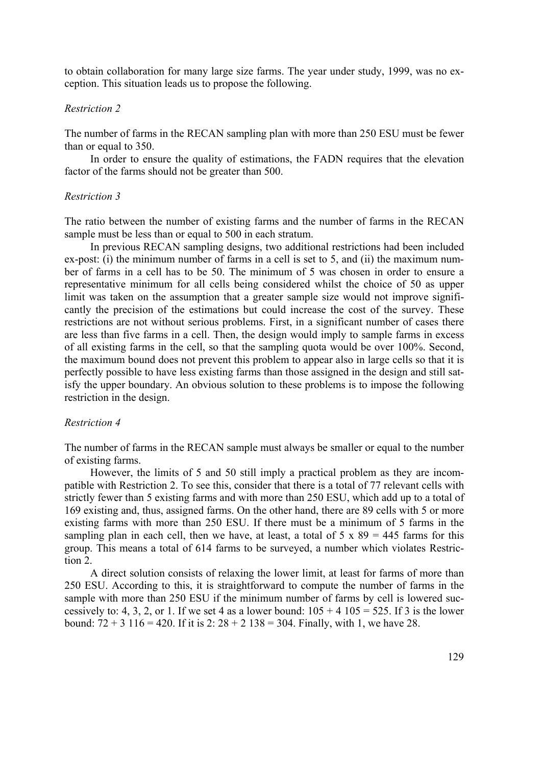to obtain collaboration for many large size farms. The year under study, 1999, was no exception. This situation leads us to propose the following.

## *Restriction 2*

The number of farms in the RECAN sampling plan with more than 250 ESU must be fewer than or equal to 350.

 In order to ensure the quality of estimations, the FADN requires that the elevation factor of the farms should not be greater than 500.

# *Restriction 3*

The ratio between the number of existing farms and the number of farms in the RECAN sample must be less than or equal to 500 in each stratum.

 In previous RECAN sampling designs, two additional restrictions had been included ex-post: (i) the minimum number of farms in a cell is set to 5, and (ii) the maximum number of farms in a cell has to be 50. The minimum of 5 was chosen in order to ensure a representative minimum for all cells being considered whilst the choice of 50 as upper limit was taken on the assumption that a greater sample size would not improve significantly the precision of the estimations but could increase the cost of the survey. These restrictions are not without serious problems. First, in a significant number of cases there are less than five farms in a cell. Then, the design would imply to sample farms in excess of all existing farms in the cell, so that the sampling quota would be over 100%. Second, the maximum bound does not prevent this problem to appear also in large cells so that it is perfectly possible to have less existing farms than those assigned in the design and still satisfy the upper boundary. An obvious solution to these problems is to impose the following restriction in the design.

## *Restriction 4*

The number of farms in the RECAN sample must always be smaller or equal to the number of existing farms.

 However, the limits of 5 and 50 still imply a practical problem as they are incompatible with Restriction 2. To see this, consider that there is a total of 77 relevant cells with strictly fewer than 5 existing farms and with more than 250 ESU, which add up to a total of 169 existing and, thus, assigned farms. On the other hand, there are 89 cells with 5 or more existing farms with more than 250 ESU. If there must be a minimum of 5 farms in the sampling plan in each cell, then we have, at least, a total of  $5 \times 89 = 445$  farms for this group. This means a total of 614 farms to be surveyed, a number which violates Restriction 2.

 A direct solution consists of relaxing the lower limit, at least for farms of more than 250 ESU. According to this, it is straightforward to compute the number of farms in the sample with more than 250 ESU if the minimum number of farms by cell is lowered successively to: 4, 3, 2, or 1. If we set 4 as a lower bound:  $105 + 4105 = 525$ . If 3 is the lower bound:  $72 + 3$  116 = 420. If it is 2:  $28 + 2$  138 = 304. Finally, with 1, we have 28.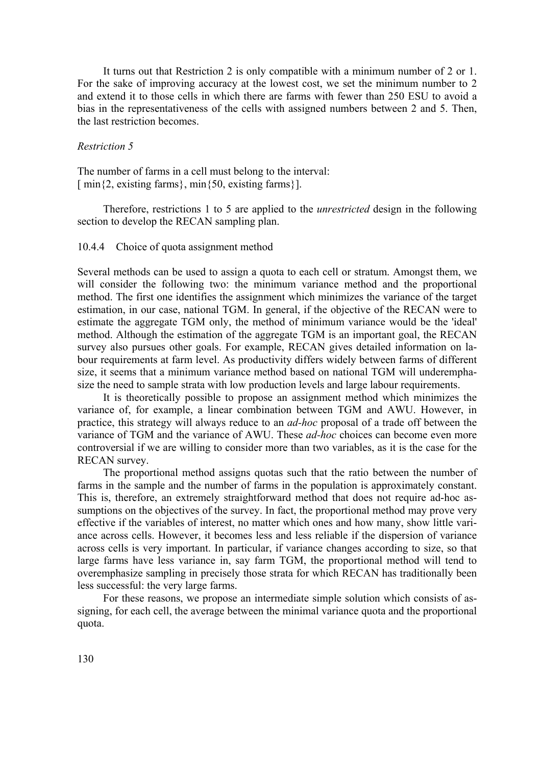It turns out that Restriction 2 is only compatible with a minimum number of 2 or 1. For the sake of improving accuracy at the lowest cost, we set the minimum number to 2 and extend it to those cells in which there are farms with fewer than 250 ESU to avoid a bias in the representativeness of the cells with assigned numbers between 2 and 5. Then, the last restriction becomes.

# *Restriction 5*

The number of farms in a cell must belong to the interval:  $\lceil \min\{2, \text{existing farms}\}, \min\{50, \text{existing farms}\}\rceil$ .

 Therefore, restrictions 1 to 5 are applied to the *unrestricted* design in the following section to develop the RECAN sampling plan.

10.4.4 Choice of quota assignment method

Several methods can be used to assign a quota to each cell or stratum. Amongst them, we will consider the following two: the minimum variance method and the proportional method. The first one identifies the assignment which minimizes the variance of the target estimation, in our case, national TGM. In general, if the objective of the RECAN were to estimate the aggregate TGM only, the method of minimum variance would be the 'ideal' method. Although the estimation of the aggregate TGM is an important goal, the RECAN survey also pursues other goals. For example, RECAN gives detailed information on labour requirements at farm level. As productivity differs widely between farms of different size, it seems that a minimum variance method based on national TGM will underemphasize the need to sample strata with low production levels and large labour requirements.

 It is theoretically possible to propose an assignment method which minimizes the variance of, for example, a linear combination between TGM and AWU. However, in practice, this strategy will always reduce to an *ad-hoc* proposal of a trade off between the variance of TGM and the variance of AWU. These *ad-hoc* choices can become even more controversial if we are willing to consider more than two variables, as it is the case for the RECAN survey.

 The proportional method assigns quotas such that the ratio between the number of farms in the sample and the number of farms in the population is approximately constant. This is, therefore, an extremely straightforward method that does not require ad-hoc assumptions on the objectives of the survey. In fact, the proportional method may prove very effective if the variables of interest, no matter which ones and how many, show little variance across cells. However, it becomes less and less reliable if the dispersion of variance across cells is very important. In particular, if variance changes according to size, so that large farms have less variance in, say farm TGM, the proportional method will tend to overemphasize sampling in precisely those strata for which RECAN has traditionally been less successful: the very large farms.

 For these reasons, we propose an intermediate simple solution which consists of assigning, for each cell, the average between the minimal variance quota and the proportional quota.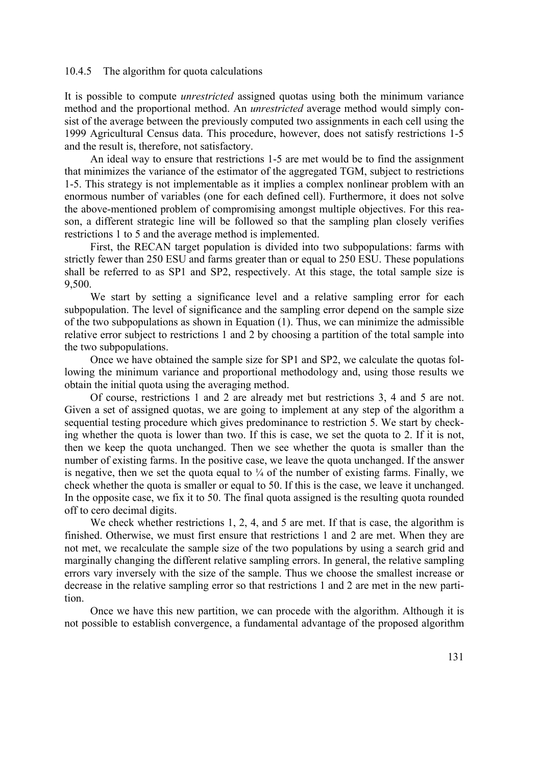## 10.4.5 The algorithm for quota calculations

It is possible to compute *unrestricted* assigned quotas using both the minimum variance method and the proportional method. An *unrestricted* average method would simply consist of the average between the previously computed two assignments in each cell using the 1999 Agricultural Census data. This procedure, however, does not satisfy restrictions 1-5 and the result is, therefore, not satisfactory.

 An ideal way to ensure that restrictions 1-5 are met would be to find the assignment that minimizes the variance of the estimator of the aggregated TGM, subject to restrictions 1-5. This strategy is not implementable as it implies a complex nonlinear problem with an enormous number of variables (one for each defined cell). Furthermore, it does not solve the above-mentioned problem of compromising amongst multiple objectives. For this reason, a different strategic line will be followed so that the sampling plan closely verifies restrictions 1 to 5 and the average method is implemented.

 First, the RECAN target population is divided into two subpopulations: farms with strictly fewer than 250 ESU and farms greater than or equal to 250 ESU. These populations shall be referred to as SP1 and SP2, respectively. At this stage, the total sample size is 9,500.

 We start by setting a significance level and a relative sampling error for each subpopulation. The level of significance and the sampling error depend on the sample size of the two subpopulations as shown in Equation (1). Thus, we can minimize the admissible relative error subject to restrictions 1 and 2 by choosing a partition of the total sample into the two subpopulations.

 Once we have obtained the sample size for SP1 and SP2, we calculate the quotas following the minimum variance and proportional methodology and, using those results we obtain the initial quota using the averaging method.

 Of course, restrictions 1 and 2 are already met but restrictions 3, 4 and 5 are not. Given a set of assigned quotas, we are going to implement at any step of the algorithm a sequential testing procedure which gives predominance to restriction 5. We start by checking whether the quota is lower than two. If this is case, we set the quota to 2. If it is not, then we keep the quota unchanged. Then we see whether the quota is smaller than the number of existing farms. In the positive case, we leave the quota unchanged. If the answer is negative, then we set the quota equal to  $\frac{1}{4}$  of the number of existing farms. Finally, we check whether the quota is smaller or equal to 50. If this is the case, we leave it unchanged. In the opposite case, we fix it to 50. The final quota assigned is the resulting quota rounded off to cero decimal digits.

We check whether restrictions 1, 2, 4, and 5 are met. If that is case, the algorithm is finished. Otherwise, we must first ensure that restrictions 1 and 2 are met. When they are not met, we recalculate the sample size of the two populations by using a search grid and marginally changing the different relative sampling errors. In general, the relative sampling errors vary inversely with the size of the sample. Thus we choose the smallest increase or decrease in the relative sampling error so that restrictions 1 and 2 are met in the new partition.

 Once we have this new partition, we can procede with the algorithm. Although it is not possible to establish convergence, a fundamental advantage of the proposed algorithm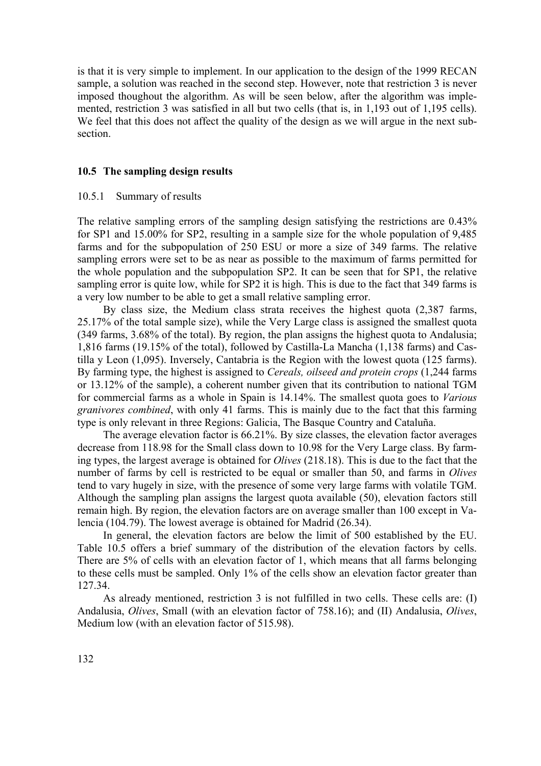is that it is very simple to implement. In our application to the design of the 1999 RECAN sample, a solution was reached in the second step. However, note that restriction 3 is never imposed thoughout the algorithm. As will be seen below, after the algorithm was implemented, restriction 3 was satisfied in all but two cells (that is, in 1,193 out of 1,195 cells). We feel that this does not affect the quality of the design as we will argue in the next subsection.

## **10.5 The sampling design results**

## 10.5.1 Summary of results

The relative sampling errors of the sampling design satisfying the restrictions are 0.43% for SP1 and 15.00% for SP2, resulting in a sample size for the whole population of 9,485 farms and for the subpopulation of 250 ESU or more a size of 349 farms. The relative sampling errors were set to be as near as possible to the maximum of farms permitted for the whole population and the subpopulation SP2. It can be seen that for SP1, the relative sampling error is quite low, while for SP2 it is high. This is due to the fact that 349 farms is a very low number to be able to get a small relative sampling error.

 By class size, the Medium class strata receives the highest quota (2,387 farms, 25.17% of the total sample size), while the Very Large class is assigned the smallest quota (349 farms, 3.68% of the total). By region, the plan assigns the highest quota to Andalusia; 1,816 farms (19.15% of the total), followed by Castilla-La Mancha (1,138 farms) and Castilla y Leon (1,095). Inversely, Cantabria is the Region with the lowest quota (125 farms). By farming type, the highest is assigned to *Cereals, oilseed and protein crops* (1,244 farms or 13.12% of the sample), a coherent number given that its contribution to national TGM for commercial farms as a whole in Spain is 14.14%. The smallest quota goes to *Various granivores combined*, with only 41 farms. This is mainly due to the fact that this farming type is only relevant in three Regions: Galicia, The Basque Country and Cataluña.

 The average elevation factor is 66.21%. By size classes, the elevation factor averages decrease from 118.98 for the Small class down to 10.98 for the Very Large class. By farming types, the largest average is obtained for *Olives* (218.18). This is due to the fact that the number of farms by cell is restricted to be equal or smaller than 50, and farms in *Olives* tend to vary hugely in size, with the presence of some very large farms with volatile TGM. Although the sampling plan assigns the largest quota available (50), elevation factors still remain high. By region, the elevation factors are on average smaller than 100 except in Valencia (104.79). The lowest average is obtained for Madrid (26.34).

 In general, the elevation factors are below the limit of 500 established by the EU. Table 10.5 offers a brief summary of the distribution of the elevation factors by cells. There are 5% of cells with an elevation factor of 1, which means that all farms belonging to these cells must be sampled. Only 1% of the cells show an elevation factor greater than 127.34.

 As already mentioned, restriction 3 is not fulfilled in two cells. These cells are: (I) Andalusia, *Olives*, Small (with an elevation factor of 758.16); and (II) Andalusia, *Olives*, Medium low (with an elevation factor of 515.98).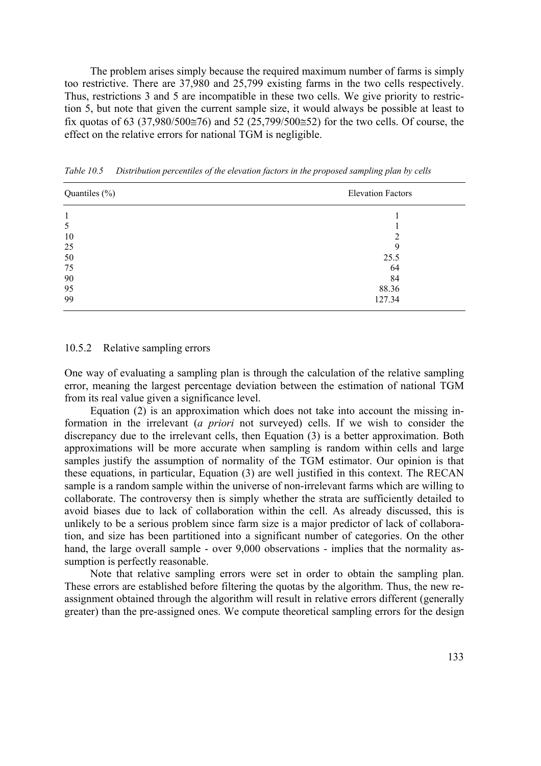The problem arises simply because the required maximum number of farms is simply too restrictive. There are 37,980 and 25,799 existing farms in the two cells respectively. Thus, restrictions 3 and 5 are incompatible in these two cells. We give priority to restriction 5, but note that given the current sample size, it would always be possible at least to fix quotas of 63 (37,980/500≅76) and 52 (25,799/500≅52) for the two cells. Of course, the effect on the relative errors for national TGM is negligible.

| Quantiles $(\% )$ | <b>Elevation Factors</b> |
|-------------------|--------------------------|
|                   |                          |
| 5                 |                          |
| 10                | ∍                        |
| 25                | 9                        |
| 50                | 25.5                     |
| 75                | 64                       |
| 90                | 84                       |
| 95                | 88.36                    |
| 99                | 127.34                   |

*Table 10.5 Distribution percentiles of the elevation factors in the proposed sampling plan by cells* 

#### 10.5.2 Relative sampling errors

One way of evaluating a sampling plan is through the calculation of the relative sampling error, meaning the largest percentage deviation between the estimation of national TGM from its real value given a significance level.

 Equation (2) is an approximation which does not take into account the missing information in the irrelevant (*a priori* not surveyed) cells. If we wish to consider the discrepancy due to the irrelevant cells, then Equation (3) is a better approximation. Both approximations will be more accurate when sampling is random within cells and large samples justify the assumption of normality of the TGM estimator. Our opinion is that these equations, in particular, Equation (3) are well justified in this context. The RECAN sample is a random sample within the universe of non-irrelevant farms which are willing to collaborate. The controversy then is simply whether the strata are sufficiently detailed to avoid biases due to lack of collaboration within the cell. As already discussed, this is unlikely to be a serious problem since farm size is a major predictor of lack of collaboration, and size has been partitioned into a significant number of categories. On the other hand, the large overall sample - over 9,000 observations - implies that the normality assumption is perfectly reasonable.

 Note that relative sampling errors were set in order to obtain the sampling plan. These errors are established before filtering the quotas by the algorithm. Thus, the new reassignment obtained through the algorithm will result in relative errors different (generally greater) than the pre-assigned ones. We compute theoretical sampling errors for the design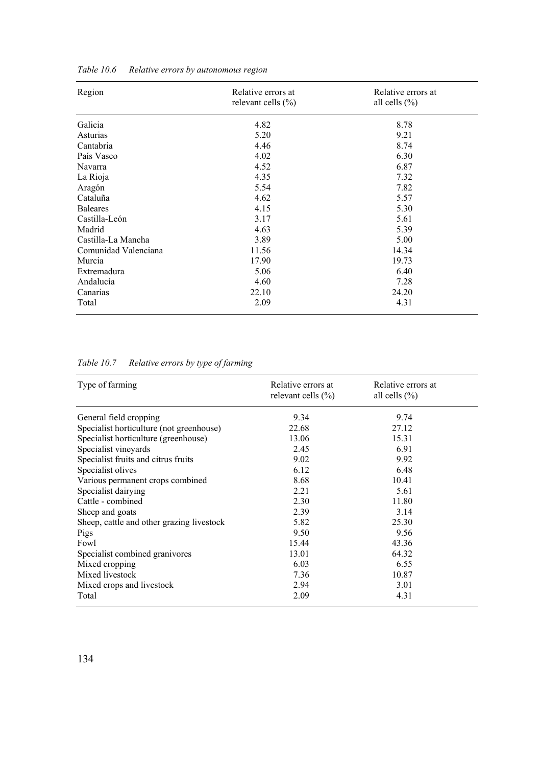| Region               | Relative errors at     | Relative errors at |
|----------------------|------------------------|--------------------|
|                      | relevant cells $(\% )$ | all cells $(\% )$  |
| Galicia              | 4.82                   | 8.78               |
| Asturias             | 5.20                   | 9.21               |
| Cantabria            | 4.46                   | 8.74               |
| País Vasco           | 4.02                   | 6.30               |
| Navarra              | 4.52                   | 6.87               |
| La Rioja             | 4.35                   | 7.32               |
| Aragón               | 5.54                   | 7.82               |
| Cataluña             | 4.62                   | 5.57               |
| <b>Baleares</b>      | 4.15                   | 5.30               |
| Castilla-León        | 3.17                   | 5.61               |
| Madrid               | 4.63                   | 5.39               |
| Castilla-La Mancha   | 3.89                   | 5.00               |
| Comunidad Valenciana | 11.56                  | 14.34              |
| Murcia               | 17.90                  | 19.73              |
| Extremadura          | 5.06                   | 6.40               |
| Andalucía            | 4.60                   | 7.28               |
| Canarias             | 22.10                  | 24.20              |
| Total                | 2.09                   | 4.31               |

*Table 10.6 Relative errors by autonomous region* 

| Table 10.7 | Relative errors by type of farming |  |
|------------|------------------------------------|--|
|            |                                    |  |

| Type of farming                           | Relative errors at<br>relevant cells $(\% )$ | Relative errors at<br>all cells $(\% )$ |  |
|-------------------------------------------|----------------------------------------------|-----------------------------------------|--|
| General field cropping                    | 9.34                                         | 9.74                                    |  |
| Specialist horticulture (not greenhouse)  | 22.68                                        | 27.12                                   |  |
| Specialist horticulture (greenhouse)      | 13.06                                        | 15.31                                   |  |
| Specialist vineyards                      | 2.45                                         | 6.91                                    |  |
| Specialist fruits and citrus fruits       | 9.02                                         | 9.92                                    |  |
| Specialist olives                         | 6.12                                         | 6.48                                    |  |
| Various permanent crops combined          | 8.68                                         | 10.41                                   |  |
| Specialist dairying                       | 2.21                                         | 5.61                                    |  |
| Cattle - combined                         | 2.30                                         | 11.80                                   |  |
| Sheep and goats                           | 2.39                                         | 3.14                                    |  |
| Sheep, cattle and other grazing livestock | 5.82                                         | 25.30                                   |  |
| Pigs                                      | 9.50                                         | 9.56                                    |  |
| Fowl                                      | 15.44                                        | 43.36                                   |  |
| Specialist combined granivores            | 13.01                                        | 64.32                                   |  |
| Mixed cropping                            | 6.03                                         | 6.55                                    |  |
| Mixed livestock                           | 7.36                                         | 10.87                                   |  |
| Mixed crops and livestock                 | 2.94                                         | 3.01                                    |  |
| Total                                     | 2.09                                         | 4.31                                    |  |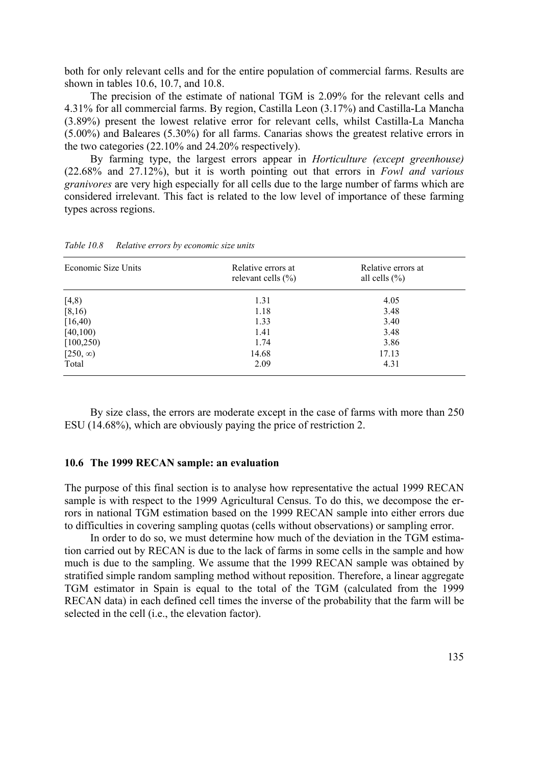both for only relevant cells and for the entire population of commercial farms. Results are shown in tables 10.6, 10.7, and 10.8.

 The precision of the estimate of national TGM is 2.09% for the relevant cells and 4.31% for all commercial farms. By region, Castilla Leon (3.17%) and Castilla-La Mancha (3.89%) present the lowest relative error for relevant cells, whilst Castilla-La Mancha (5.00%) and Baleares (5.30%) for all farms. Canarias shows the greatest relative errors in the two categories (22.10% and 24.20% respectively).

 By farming type, the largest errors appear in *Horticulture (except greenhouse)* (22.68% and 27.12%), but it is worth pointing out that errors in *Fowl and various granivores* are very high especially for all cells due to the large number of farms which are considered irrelevant. This fact is related to the low level of importance of these farming types across regions.

| Economic Size Units | Relative errors at<br>relevant cells $(\% )$ | Relative errors at<br>all cells $(\% )$ |  |
|---------------------|----------------------------------------------|-----------------------------------------|--|
| [4,8)               | 1.31                                         | 4.05                                    |  |
| [8,16)              | 1.18                                         | 3.48                                    |  |
| [16, 40)            | 1.33                                         | 3.40                                    |  |
| [40, 100]           | 1.41                                         | 3.48                                    |  |
| [100, 250)          | 1.74                                         | 3.86                                    |  |
| $[250, \infty)$     | 14.68                                        | 17.13                                   |  |
| Total               | 2.09                                         | 4.31                                    |  |

*Table 10.8 Relative errors by economic size units* 

 By size class, the errors are moderate except in the case of farms with more than 250 ESU (14.68%), which are obviously paying the price of restriction 2.

# **10.6 The 1999 RECAN sample: an evaluation**

The purpose of this final section is to analyse how representative the actual 1999 RECAN sample is with respect to the 1999 Agricultural Census. To do this, we decompose the errors in national TGM estimation based on the 1999 RECAN sample into either errors due to difficulties in covering sampling quotas (cells without observations) or sampling error.

 In order to do so, we must determine how much of the deviation in the TGM estimation carried out by RECAN is due to the lack of farms in some cells in the sample and how much is due to the sampling. We assume that the 1999 RECAN sample was obtained by stratified simple random sampling method without reposition. Therefore, a linear aggregate TGM estimator in Spain is equal to the total of the TGM (calculated from the 1999 RECAN data) in each defined cell times the inverse of the probability that the farm will be selected in the cell (i.e., the elevation factor).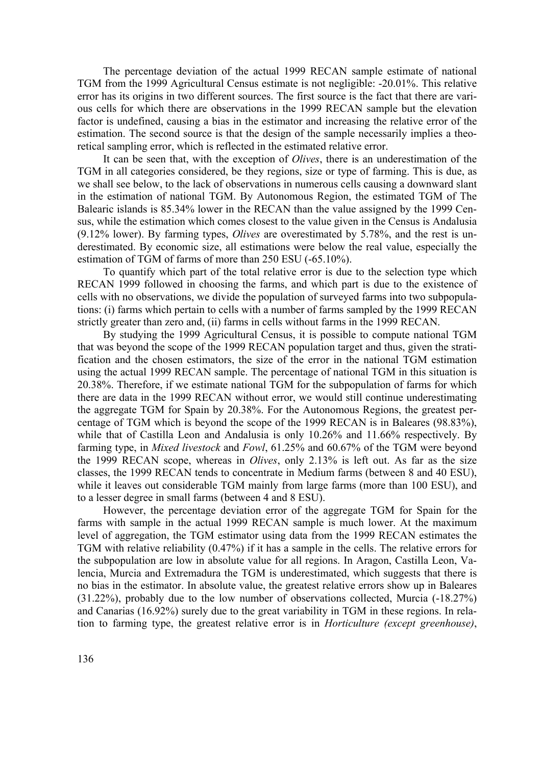The percentage deviation of the actual 1999 RECAN sample estimate of national TGM from the 1999 Agricultural Census estimate is not negligible: -20.01%. This relative error has its origins in two different sources. The first source is the fact that there are various cells for which there are observations in the 1999 RECAN sample but the elevation factor is undefined, causing a bias in the estimator and increasing the relative error of the estimation. The second source is that the design of the sample necessarily implies a theoretical sampling error, which is reflected in the estimated relative error.

 It can be seen that, with the exception of *Olives*, there is an underestimation of the TGM in all categories considered, be they regions, size or type of farming. This is due, as we shall see below, to the lack of observations in numerous cells causing a downward slant in the estimation of national TGM. By Autonomous Region, the estimated TGM of The Balearic islands is 85.34% lower in the RECAN than the value assigned by the 1999 Census, while the estimation which comes closest to the value given in the Census is Andalusia (9.12% lower). By farming types, *Olives* are overestimated by 5.78%, and the rest is underestimated. By economic size, all estimations were below the real value, especially the estimation of TGM of farms of more than 250 ESU (-65.10%).

 To quantify which part of the total relative error is due to the selection type which RECAN 1999 followed in choosing the farms, and which part is due to the existence of cells with no observations, we divide the population of surveyed farms into two subpopulations: (i) farms which pertain to cells with a number of farms sampled by the 1999 RECAN strictly greater than zero and, (ii) farms in cells without farms in the 1999 RECAN.

 By studying the 1999 Agricultural Census, it is possible to compute national TGM that was beyond the scope of the 1999 RECAN population target and thus, given the stratification and the chosen estimators, the size of the error in the national TGM estimation using the actual 1999 RECAN sample. The percentage of national TGM in this situation is 20.38%. Therefore, if we estimate national TGM for the subpopulation of farms for which there are data in the 1999 RECAN without error, we would still continue underestimating the aggregate TGM for Spain by 20.38%. For the Autonomous Regions, the greatest percentage of TGM which is beyond the scope of the 1999 RECAN is in Baleares (98.83%), while that of Castilla Leon and Andalusia is only 10.26% and 11.66% respectively. By farming type, in *Mixed livestock* and *Fowl*, 61.25% and 60.67% of the TGM were beyond the 1999 RECAN scope, whereas in *Olives*, only 2.13% is left out. As far as the size classes, the 1999 RECAN tends to concentrate in Medium farms (between 8 and 40 ESU), while it leaves out considerable TGM mainly from large farms (more than 100 ESU), and to a lesser degree in small farms (between 4 and 8 ESU).

 However, the percentage deviation error of the aggregate TGM for Spain for the farms with sample in the actual 1999 RECAN sample is much lower. At the maximum level of aggregation, the TGM estimator using data from the 1999 RECAN estimates the TGM with relative reliability (0.47%) if it has a sample in the cells. The relative errors for the subpopulation are low in absolute value for all regions. In Aragon, Castilla Leon, Valencia, Murcia and Extremadura the TGM is underestimated, which suggests that there is no bias in the estimator. In absolute value, the greatest relative errors show up in Baleares (31.22%), probably due to the low number of observations collected, Murcia (-18.27%) and Canarias (16.92%) surely due to the great variability in TGM in these regions. In relation to farming type, the greatest relative error is in *Horticulture (except greenhouse)*,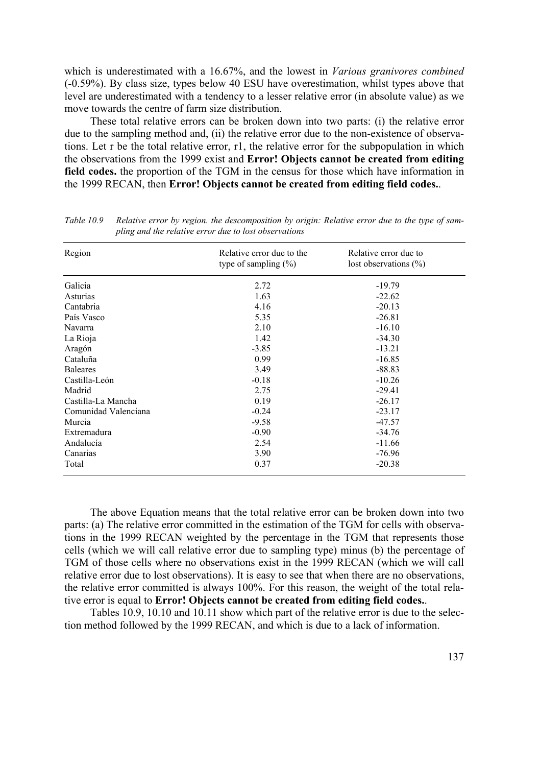which is underestimated with a 16.67%, and the lowest in *Various granivores combined* (-0.59%). By class size, types below 40 ESU have overestimation, whilst types above that level are underestimated with a tendency to a lesser relative error (in absolute value) as we move towards the centre of farm size distribution.

 These total relative errors can be broken down into two parts: (i) the relative error due to the sampling method and, (ii) the relative error due to the non-existence of observations. Let r be the total relative error, r1, the relative error for the subpopulation in which the observations from the 1999 exist and **Error! Objects cannot be created from editing field codes.** the proportion of the TGM in the census for those which have information in the 1999 RECAN, then **Error! Objects cannot be created from editing field codes.**.

| Region               | Relative error due to the<br>type of sampling $(\%)$ | Relative error due to<br>lost observations $(\%)$ |
|----------------------|------------------------------------------------------|---------------------------------------------------|
| Galicia              | 2.72                                                 | $-19.79$                                          |
| Asturias             | 1.63                                                 | $-22.62$                                          |
| Cantabria            | 4.16                                                 | $-20.13$                                          |
| País Vasco           | 5.35                                                 | $-26.81$                                          |
| Navarra              | 2.10                                                 | $-16.10$                                          |
| La Rioja             | 1.42                                                 | $-34.30$                                          |
| Aragón               | $-3.85$                                              | $-13.21$                                          |
| Cataluña             | 0.99                                                 | $-16.85$                                          |
| <b>Baleares</b>      | 3.49                                                 | $-88.83$                                          |
| Castilla-León        | $-0.18$                                              | $-10.26$                                          |
| Madrid               | 2.75                                                 | $-29.41$                                          |
| Castilla-La Mancha   | 0.19                                                 | $-26.17$                                          |
| Comunidad Valenciana | $-0.24$                                              | $-23.17$                                          |
| Murcia               | $-9.58$                                              | $-47.57$                                          |
| Extremadura          | $-0.90$                                              | $-34.76$                                          |
| Andalucía            | 2.54                                                 | $-11.66$                                          |
| Canarias             | 3.90                                                 | $-76.96$                                          |
| Total                | 0.37                                                 | $-20.38$                                          |

*Table 10.9 Relative error by region. the descomposition by origin: Relative error due to the type of sampling and the relative error due to lost observations* 

 The above Equation means that the total relative error can be broken down into two parts: (a) The relative error committed in the estimation of the TGM for cells with observations in the 1999 RECAN weighted by the percentage in the TGM that represents those cells (which we will call relative error due to sampling type) minus (b) the percentage of TGM of those cells where no observations exist in the 1999 RECAN (which we will call relative error due to lost observations). It is easy to see that when there are no observations, the relative error committed is always 100%. For this reason, the weight of the total relative error is equal to **Error! Objects cannot be created from editing field codes.**.

 Tables 10.9, 10.10 and 10.11 show which part of the relative error is due to the selection method followed by the 1999 RECAN, and which is due to a lack of information.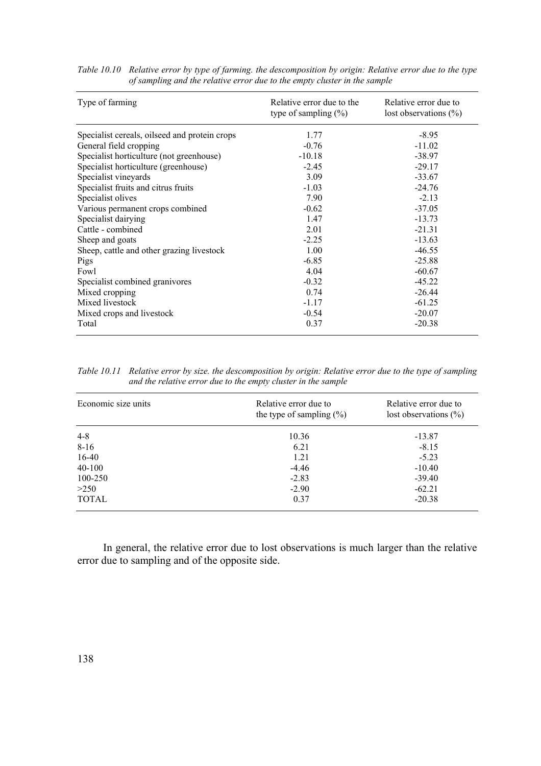| Type of farming                               | Relative error due to the<br>type of sampling $(\%)$ | Relative error due to<br>lost observations $(\%)$ |
|-----------------------------------------------|------------------------------------------------------|---------------------------------------------------|
| Specialist cereals, oilseed and protein crops | 1.77                                                 | $-8.95$                                           |
| General field cropping                        | $-0.76$                                              | $-11.02$                                          |
| Specialist horticulture (not greenhouse)      | $-10.18$                                             | $-38.97$                                          |
| Specialist horticulture (greenhouse)          | $-2.45$                                              | $-29.17$                                          |
| Specialist vineyards                          | 3.09                                                 | $-33.67$                                          |
| Specialist fruits and citrus fruits           | $-1.03$                                              | $-24.76$                                          |
| Specialist olives                             | 7.90                                                 | $-2.13$                                           |
| Various permanent crops combined              | $-0.62$                                              | $-37.05$                                          |
| Specialist dairying                           | 1.47                                                 | $-13.73$                                          |
| Cattle - combined                             | 2.01                                                 | $-21.31$                                          |
| Sheep and goats                               | $-2.25$                                              | $-13.63$                                          |
| Sheep, cattle and other grazing livestock     | 1.00                                                 | $-46.55$                                          |
| Pigs                                          | $-6.85$                                              | $-25.88$                                          |
| Fowl                                          | 4.04                                                 | $-60.67$                                          |
| Specialist combined granivores                | $-0.32$                                              | $-45.22$                                          |
| Mixed cropping                                | 0.74                                                 | $-26.44$                                          |
| Mixed livestock                               | $-1.17$                                              | $-61.25$                                          |
| Mixed crops and livestock                     | $-0.54$                                              | $-20.07$                                          |
| Total                                         | 0.37                                                 | $-20.38$                                          |

*Table 10.10 Relative error by type of farming. the descomposition by origin: Relative error due to the type of sampling and the relative error due to the empty cluster in the sample* 

*Table 10.11 Relative error by size. the descomposition by origin: Relative error due to the type of sampling and the relative error due to the empty cluster in the sample* 

| Economic size units | Relative error due to<br>the type of sampling $(\% )$ | Relative error due to<br>lost observations $(\%)$ |
|---------------------|-------------------------------------------------------|---------------------------------------------------|
| $4 - 8$             | 10.36                                                 | $-13.87$                                          |
| $8-16$              | 6.21                                                  | $-8.15$                                           |
| $16-40$             | 1.21                                                  | $-5.23$                                           |
| $40 - 100$          | $-4.46$                                               | $-10.40$                                          |
| 100-250             | $-2.83$                                               | $-39.40$                                          |
| >250                | $-2.90$                                               | $-62.21$                                          |
| <b>TOTAL</b>        | 0.37                                                  | $-20.38$                                          |

 In general, the relative error due to lost observations is much larger than the relative error due to sampling and of the opposite side.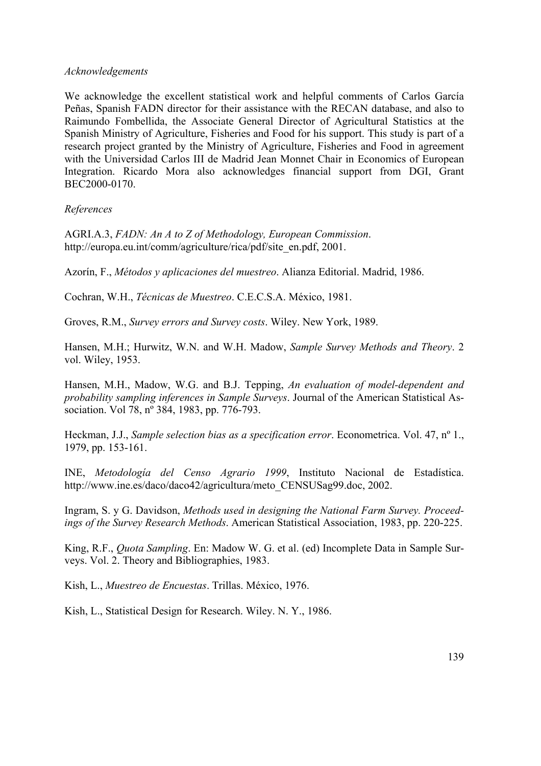# *Acknowledgements*

We acknowledge the excellent statistical work and helpful comments of Carlos García Peñas, Spanish FADN director for their assistance with the RECAN database, and also to Raimundo Fombellida, the Associate General Director of Agricultural Statistics at the Spanish Ministry of Agriculture, Fisheries and Food for his support. This study is part of a research project granted by the Ministry of Agriculture, Fisheries and Food in agreement with the Universidad Carlos III de Madrid Jean Monnet Chair in Economics of European Integration. Ricardo Mora also acknowledges financial support from DGI, Grant BEC2000-0170.

*References* 

AGRI.A.3, *FADN: An A to Z of Methodology, European Commission*. http://europa.eu.int/comm/agriculture/rica/pdf/site\_en.pdf, 2001.

Azorín, F., *Métodos y aplicaciones del muestreo*. Alianza Editorial. Madrid, 1986.

Cochran, W.H., *Técnicas de Muestreo*. C.E.C.S.A. México, 1981.

Groves, R.M., *Survey errors and Survey costs*. Wiley. New York, 1989.

Hansen, M.H.; Hurwitz, W.N. and W.H. Madow, *Sample Survey Methods and Theory*. 2 vol. Wiley, 1953.

Hansen, M.H., Madow, W.G. and B.J. Tepping, *An evaluation of model-dependent and probability sampling inferences in Sample Surveys*. Journal of the American Statistical Association. Vol 78, nº 384, 1983, pp. 776-793.

Heckman, J.J., *Sample selection bias as a specification error*. Econometrica. Vol. 47, nº 1., 1979, pp. 153-161.

INE, *Metodología del Censo Agrario 1999*, Instituto Nacional de Estadística. http://www.ine.es/daco/daco42/agricultura/meto\_CENSUSag99.doc, 2002.

Ingram, S. y G. Davidson, *Methods used in designing the National Farm Survey. Proceedings of the Survey Research Methods*. American Statistical Association, 1983, pp. 220-225.

King, R.F., *Quota Sampling*. En: Madow W. G. et al. (ed) Incomplete Data in Sample Surveys. Vol. 2. Theory and Bibliographies, 1983.

Kish, L., *Muestreo de Encuestas*. Trillas. México, 1976.

Kish, L., Statistical Design for Research. Wiley. N. Y., 1986.